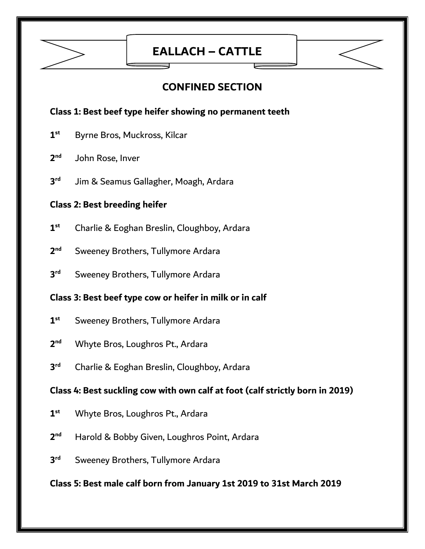

## **EALLACH – CATTLE**

### **CONFINED SECTION**

#### **Class 1: Best beef type heifer showing no permanent teeth**

- **1 st** Byrne Bros, Muckross, Kilcar
- **2** John Rose, Inver
- **3 rd** Jim & Seamus Gallagher, Moagh, Ardara

#### **Class 2: Best breeding heifer**

- **1 st** Charlie & Eoghan Breslin, Cloughboy, Ardara
- **2 Sweeney Brothers, Tullymore Ardara**
- **3 Sweeney Brothers, Tullymore Ardara**

#### **Class 3: Best beef type cow or heifer in milk or in calf**

- **1 st** Sweeney Brothers, Tullymore Ardara
- **2** Whyte Bros, Loughros Pt., Ardara
- **3** Charlie & Eoghan Breslin, Cloughboy, Ardara

#### **Class 4: Best suckling cow with own calf at foot (calf strictly born in 2019)**

- **1 st** Whyte Bros, Loughros Pt., Ardara
- **2** Harold & Bobby Given, Loughros Point, Ardara
- **3 Sweeney Brothers, Tullymore Ardara**

#### **Class 5: Best male calf born from January 1st 2019 to 31st March 2019**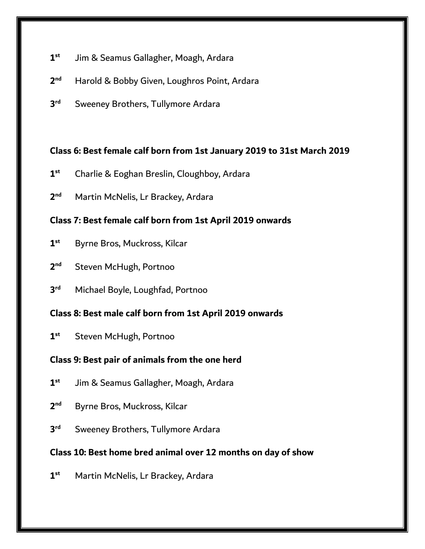- **1 st** Jim & Seamus Gallagher, Moagh, Ardara
- **2** Harold & Bobby Given, Loughros Point, Ardara
- **3 Sweeney Brothers, Tullymore Ardara**

#### **Class 6: Best female calf born from 1st January 2019 to 31st March 2019**

- **1 st** Charlie & Eoghan Breslin, Cloughboy, Ardara
- **2 Martin McNelis, Lr Brackey, Ardara**

#### **Class 7: Best female calf born from 1st April 2019 onwards**

- **1 st** Byrne Bros, Muckross, Kilcar
- **2 Steven McHugh, Portnoo**
- **3 rd** Michael Boyle, Loughfad, Portnoo

#### **Class 8: Best male calf born from 1st April 2019 onwards**

**1 st** Steven McHugh, Portnoo

#### **Class 9: Best pair of animals from the one herd**

- **1 st** Jim & Seamus Gallagher, Moagh, Ardara
- **2 Byrne Bros, Muckross, Kilcar**
- **3 Sweeney Brothers, Tullymore Ardara**

#### **Class 10: Best home bred animal over 12 months on day of show**

**1 st** Martin McNelis, Lr Brackey, Ardara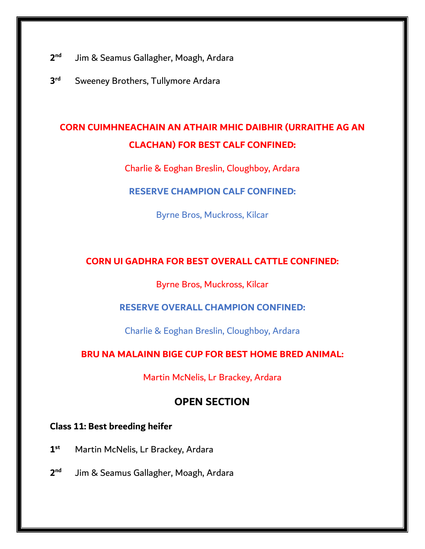- **2** Jim & Seamus Gallagher, Moagh, Ardara
- **3 Sweeney Brothers, Tullymore Ardara**

## **CORN CUIMHNEACHAIN AN ATHAIR MHIC DAIBHIR (URRAITHE AG AN CLACHAN) FOR BEST CALF CONFINED:**

Charlie & Eoghan Breslin, Cloughboy, Ardara

**RESERVE CHAMPION CALF CONFINED:** 

Byrne Bros, Muckross, Kilcar

#### **CORN UI GADHRA FOR BEST OVERALL CATTLE CONFINED:**

Byrne Bros, Muckross, Kilcar

#### **RESERVE OVERALL CHAMPION CONFINED:**

Charlie & Eoghan Breslin, Cloughboy, Ardara

#### **BRU NA MALAINN BIGE CUP FOR BEST HOME BRED ANIMAL:**

Martin McNelis, Lr Brackey, Ardara

#### **OPEN SECTION**

#### **Class 11: Best breeding heifer**

- **1 st** Martin McNelis, Lr Brackey, Ardara
- **2** Jim & Seamus Gallagher, Moagh, Ardara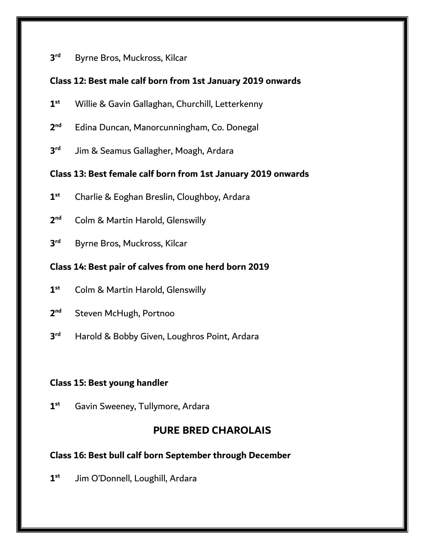#### **3 Byrne Bros, Muckross, Kilcar**

#### **Class 12: Best male calf born from 1st January 2019 onwards**

- **1 st** Willie & Gavin Gallaghan, Churchill, Letterkenny
- **2 nd** Edina Duncan, Manorcunningham, Co. Donegal
- **3** Jim & Seamus Gallagher, Moagh, Ardara

#### **Class 13: Best female calf born from 1st January 2019 onwards**

- **1 st** Charlie & Eoghan Breslin, Cloughboy, Ardara
- **2 Colm & Martin Harold, Glenswilly**
- **3 Byrne Bros, Muckross, Kilcar**

#### **Class 14: Best pair of calves from one herd born 2019**

- **1 st** Colm & Martin Harold, Glenswilly
- **2 Steven McHugh, Portnoo**
- **3** Harold & Bobby Given, Loughros Point, Ardara

#### **Class 15: Best young handler**

**1 st** Gavin Sweeney, Tullymore, Ardara

### **PURE BRED CHAROLAIS**

#### **Class 16: Best bull calf born September through December**

**1 st** Jim O'Donnell, Loughill, Ardara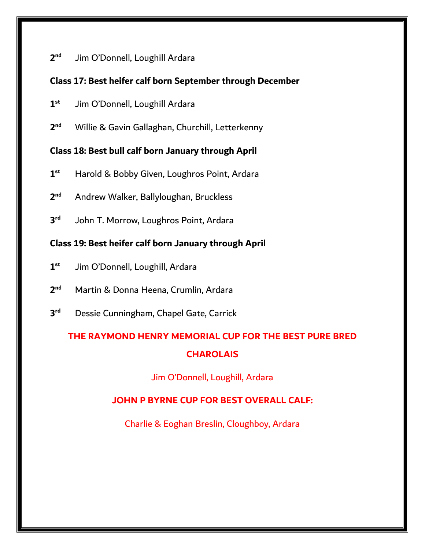#### **2** Jim O'Donnell, Loughill Ardara

#### **Class 17: Best heifer calf born September through December**

- **1 st** Jim O'Donnell, Loughill Ardara
- **2 nd** Willie & Gavin Gallaghan, Churchill, Letterkenny

#### **Class 18: Best bull calf born January through April**

- **1 st** Harold & Bobby Given, Loughros Point, Ardara
- **2 nd** Andrew Walker, Ballyloughan, Bruckless
- **3** John T. Morrow, Loughros Point, Ardara

#### **Class 19: Best heifer calf born January through April**

- **1 st** Jim O'Donnell, Loughill, Ardara
- **2 nd** Martin & Donna Heena, Crumlin, Ardara
- **3 rd** Dessie Cunningham, Chapel Gate, Carrick

## **THE RAYMOND HENRY MEMORIAL CUP FOR THE BEST PURE BRED CHAROLAIS**

Jim O'Donnell, Loughill, Ardara

#### **JOHN P BYRNE CUP FOR BEST OVERALL CALF:**

Charlie & Eoghan Breslin, Cloughboy, Ardara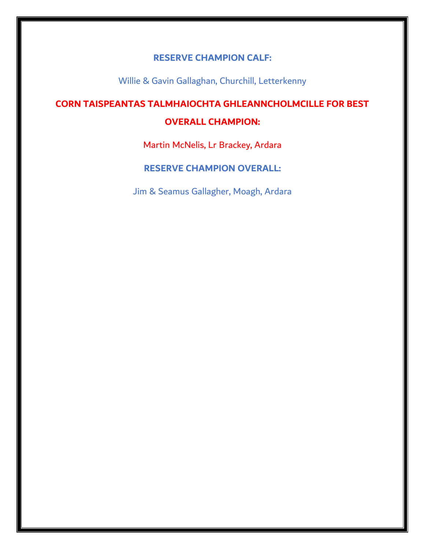#### **RESERVE CHAMPION CALF:**

Willie & Gavin Gallaghan, Churchill, Letterkenny

# **CORN TAISPEANTAS TALMHAIOCHTA GHLEANNCHOLMCILLE FOR BEST**

#### **OVERALL CHAMPION:**

Martin McNelis, Lr Brackey, Ardara

#### **RESERVE CHAMPION OVERALL:**

Jim & Seamus Gallagher, Moagh, Ardara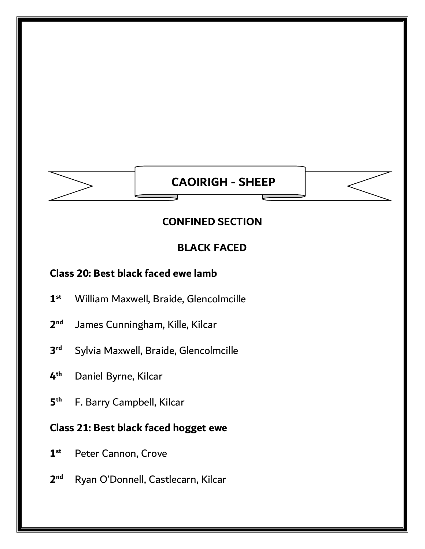# **CAOIRIGH - SHEEP**

### **CONFINED SECTION**

### **BLACK FACED**

### **Class 20: Best black faced ewe lamb**

- **1 st** William Maxwell, Braide, Glencolmcille
- **2** James Cunningham, Kille, Kilcar
- **3** Sylvia Maxwell, Braide, Glencolmcille
- **4 th** Daniel Byrne, Kilcar
- **5 th** F. Barry Campbell, Kilcar

### **Class 21: Best black faced hogget ewe**

- **1** Peter Cannon, Crove
- **2** Ryan O'Donnell, Castlecarn, Kilcar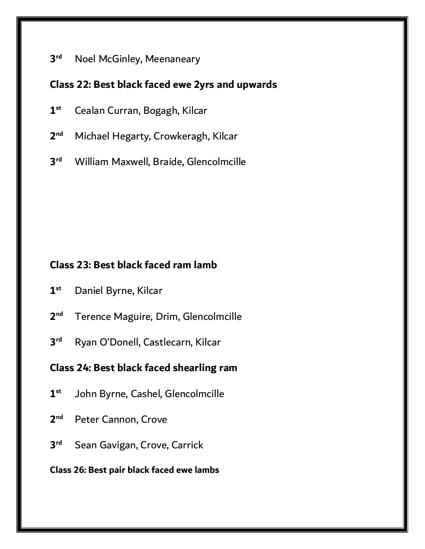#### **3 Noel McGinley, Meenaneary**

#### **Class 22: Best black faced ewe 2yrs and upwards**

- **1 st** Cealan Curran, Bogagh, Kilcar
- **2 Michael Hegarty, Crowkeragh, Kilcar**
- **3 rd** William Maxwell, Braide, Glencolmcille

### **Class 23: Best black faced ram lamb**

- **1 st** Daniel Byrne, Kilcar
- **2 nd** Terence Maguire, Drim, Glencolmcille
- **3** Ryan O'Donell, Castlecarn, Kilcar

### **Class 24: Best black faced shearling ram**

- **1 st** John Byrne, Cashel, Glencolmcille
- **2 Peter Cannon, Crove**
- **3 Sean Gavigan, Crove, Carrick**

#### **Class 26: Best pair black faced ewe lambs**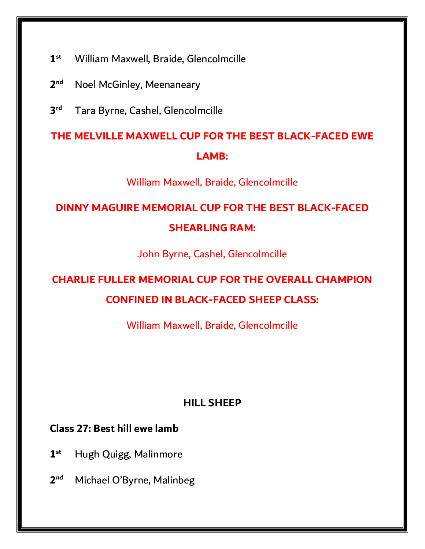- **1 st** William Maxwell, Braide, Glencolmcille
- **2 Noel McGinley, Meenaneary**
- **3 rd** Tara Byrne, Cashel, Glencolmcille

# **THE MELVILLE MAXWELL CUP FOR THE BEST BLACK-FACED EWE LAMB:**

William Maxwell, Braide, Glencolmcille

# **DINNY MAGUIRE MEMORIAL CUP FOR THE BEST BLACK-FACED SHEARLING RAM:**

John Byrne, Cashel, Glencolmcille

# **CHARLIE FULLER MEMORIAL CUP FOR THE OVERALL CHAMPION CONFINED IN BLACK-FACED SHEEP CLASS:**

William Maxwell, Braide, Glencolmcille

### **HILL SHEEP**

### **Class 27: Best hill ewe lamb**

- **1 st** Hugh Quigg, Malinmore
- **2 Michael O'Byrne, Malinbeg**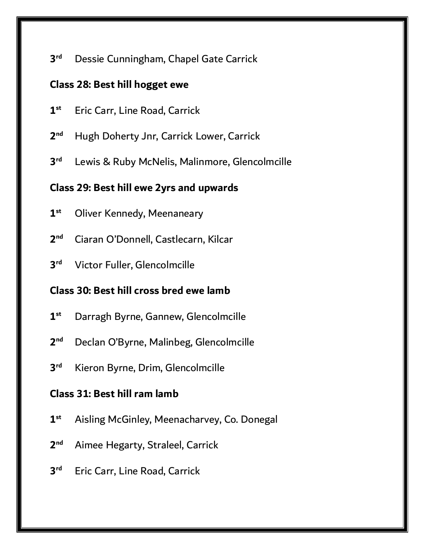#### **3** Dessie Cunningham, Chapel Gate Carrick

#### **Class 28: Best hill hogget ewe**

- **1 st** Eric Carr, Line Road, Carrick
- **2 nd** Hugh Doherty Jnr, Carrick Lower, Carrick
- **3** Lewis & Ruby McNelis, Malinmore, Glencolmcille

#### **Class 29: Best hill ewe 2yrs and upwards**

- **1 Oliver Kennedy, Meenaneary**
- **2 nd** Ciaran O'Donnell, Castlecarn, Kilcar
- **3 Victor Fuller, Glencolmcille**

### **Class 30: Best hill cross bred ewe lamb**

- **1 st** Darragh Byrne, Gannew, Glencolmcille
- **2** Declan O'Byrne, Malinbeg, Glencolmcille
- **3** Kieron Byrne, Drim, Glencolmcille

### **Class 31: Best hill ram lamb**

- **1 st** Aisling McGinley, Meenacharvey, Co. Donegal
- **2 nd** Aimee Hegarty, Straleel, Carrick
- **3 Eric Carr, Line Road, Carrick**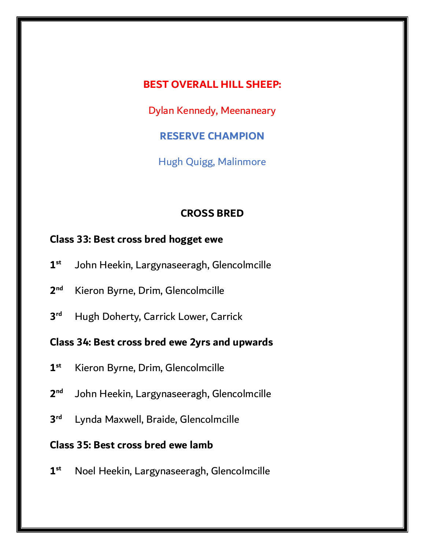#### **BEST OVERALL HILL SHEEP:**

Dylan Kennedy, Meenaneary

**RESERVE CHAMPION**

Hugh Quigg, Malinmore

### **CROSS BRED**

### **Class 33: Best cross bred hogget ewe**

- **1 st** John Heekin, Largynaseeragh, Glencolmcille
- **2 nd** Kieron Byrne, Drim, Glencolmcille
- **3 Hugh Doherty, Carrick Lower, Carrick**

### **Class 34: Best cross bred ewe 2yrs and upwards**

- **1 st** Kieron Byrne, Drim, Glencolmcille
- **2 nd** John Heekin, Largynaseeragh, Glencolmcille
- **3** Lynda Maxwell, Braide, Glencolmcille

### **Class 35: Best cross bred ewe lamb**

**1 st** Noel Heekin, Largynaseeragh, Glencolmcille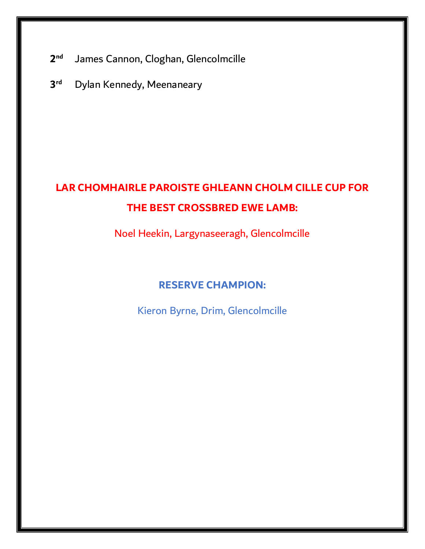- **2** James Cannon, Cloghan, Glencolmcille
- **3 Dylan Kennedy, Meenaneary**

# **LAR CHOMHAIRLE PAROISTE GHLEANN CHOLM CILLE CUP FOR THE BEST CROSSBRED EWE LAMB:**

Noel Heekin, Largynaseeragh, Glencolmcille

### **RESERVE CHAMPION:**

Kieron Byrne, Drim, Glencolmcille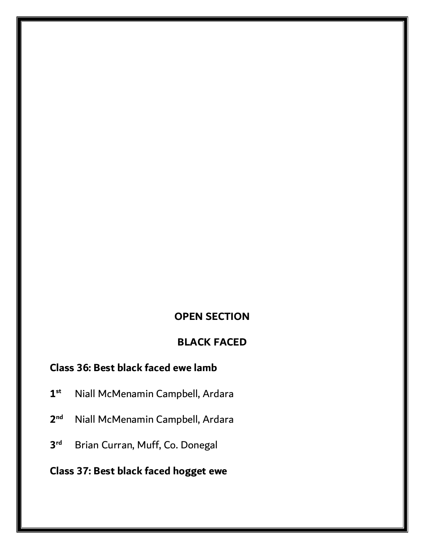### **OPEN SECTION**

### **BLACK FACED**

### **Class 36: Best black faced ewe lamb**

- **1 st** Niall McMenamin Campbell, Ardara
- **2 Niall McMenamin Campbell, Ardara**
- **3 Brian Curran, Muff, Co. Donegal**
- **Class 37: Best black faced hogget ewe**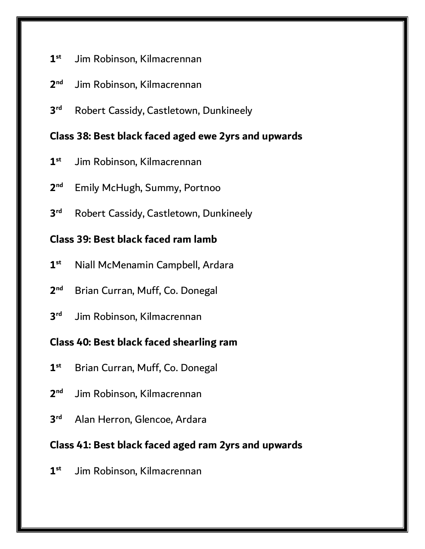- **1 st** Jim Robinson, Kilmacrennan
- **2** Jim Robinson, Kilmacrennan
- **3** Robert Cassidy, Castletown, Dunkineely

### **Class 38: Best black faced aged ewe 2yrs and upwards**

- **1 st** Jim Robinson, Kilmacrennan
- **2 Emily McHugh, Summy, Portnoo**
- **3 Robert Cassidy, Castletown, Dunkineely**

### **Class 39: Best black faced ram lamb**

- **1 st** Niall McMenamin Campbell, Ardara
- **2 nd** Brian Curran, Muff, Co. Donegal
- **3** Jim Robinson, Kilmacrennan

### **Class 40: Best black faced shearling ram**

- **1 st** Brian Curran, Muff, Co. Donegal
- **2** Jim Robinson, Kilmacrennan
- **3 rd** Alan Herron, Glencoe, Ardara

### **Class 41: Best black faced aged ram 2yrs and upwards**

**1 st** Jim Robinson, Kilmacrennan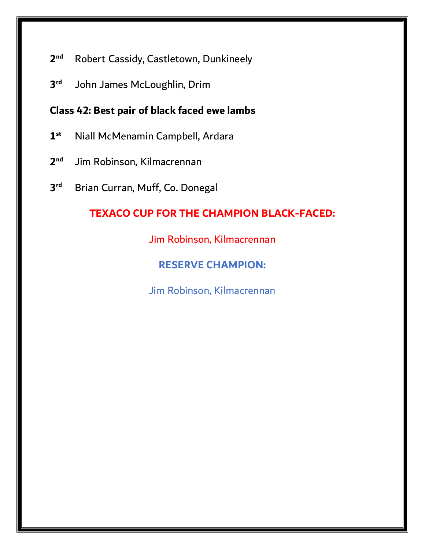- **2** Robert Cassidy, Castletown, Dunkineely
- **3** John James McLoughlin, Drim

### **Class 42: Best pair of black faced ewe lambs**

- **1 st** Niall McMenamin Campbell, Ardara
- **2** Jim Robinson, Kilmacrennan
- **3 Brian Curran, Muff, Co. Donegal**

### **TEXACO CUP FOR THE CHAMPION BLACK-FACED:**

Jim Robinson, Kilmacrennan

### **RESERVE CHAMPION:**

Jim Robinson, Kilmacrennan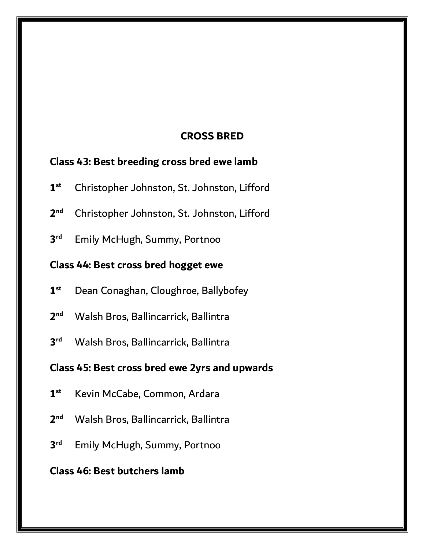### **CROSS BRED**

## **Class 43: Best breeding cross bred ewe lamb**

- **1 st** Christopher Johnston, St. Johnston, Lifford
- **2 nd** Christopher Johnston, St. Johnston, Lifford
- **3 Emily McHugh, Summy, Portnoo**

### **Class 44: Best cross bred hogget ewe**

- **1 st** Dean Conaghan, Cloughroe, Ballybofey
- **2 nd** Walsh Bros, Ballincarrick, Ballintra
- **3 rd** Walsh Bros, Ballincarrick, Ballintra

#### **Class 45: Best cross bred ewe 2yrs and upwards**

- **1 st** Kevin McCabe, Common, Ardara
- **2 nd** Walsh Bros, Ballincarrick, Ballintra
- **3 Emily McHugh, Summy, Portnoo**

### **Class 46: Best butchers lamb**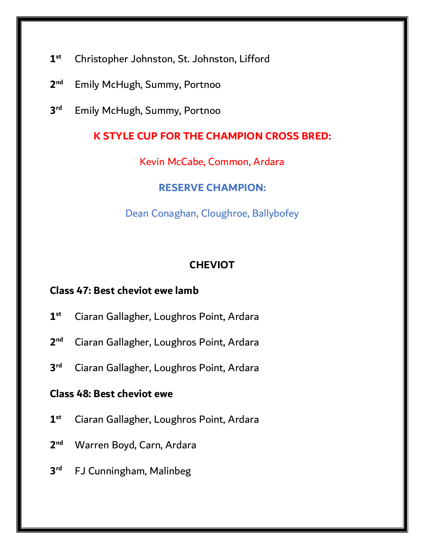- **1 st** Christopher Johnston, St. Johnston, Lifford
- **2 Emily McHugh, Summy, Portnoo**
- **3 Emily McHugh, Summy, Portnoo**

### **K STYLE CUP FOR THE CHAMPION CROSS BRED:**

Kevin McCabe, Common, Ardara

#### **RESERVE CHAMPION:**

Dean Conaghan, Cloughroe, Ballybofey

#### **CHEVIOT**

### **Class 47: Best cheviot ewe lamb**

- **1 st** Ciaran Gallagher, Loughros Point, Ardara
- **2 nd** Ciaran Gallagher, Loughros Point, Ardara
- **3 rd** Ciaran Gallagher, Loughros Point, Ardara

#### **Class 48: Best cheviot ewe**

- **1 st** Ciaran Gallagher, Loughros Point, Ardara
- **2** Warren Boyd, Carn, Ardara
- **3 FJ Cunningham, Malinbeg**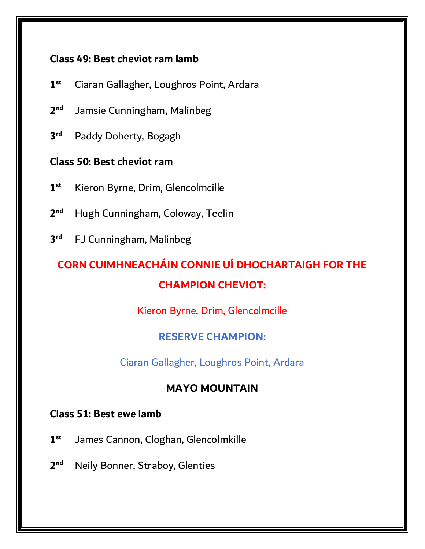### **Class 49: Best cheviot ram lamb**

- **1 st** Ciaran Gallagher, Loughros Point, Ardara
- **2 Jamsie Cunningham, Malinbeg**
- **3** Paddy Doherty, Bogagh

### **Class 50: Best cheviot ram**

- **1 st** Kieron Byrne, Drim, Glencolmcille
- **2 nd** Hugh Cunningham, Coloway, Teelin
- **3 FJ Cunningham, Malinbeg**

# **CORN CUIMHNEACHÁIN CONNIE UÍ DHOCHARTAIGH FOR THE CHAMPION CHEVIOT:**

Kieron Byrne, Drim, Glencolmcille

### **RESERVE CHAMPION:**

Ciaran Gallagher, Loughros Point, Ardara

### **MAYO MOUNTAIN**

### **Class 51: Best ewe lamb**

- **1 st** James Cannon, Cloghan, Glencolmkille
- **2 Neily Bonner, Straboy, Glenties**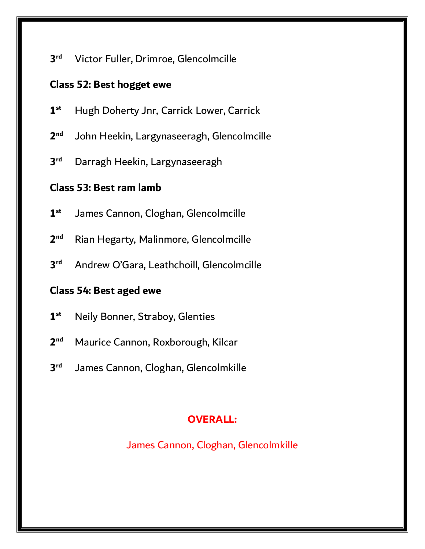**3** Victor Fuller, Drimroe, Glencolmcille

### **Class 52: Best hogget ewe**

- **1 st** Hugh Doherty Jnr, Carrick Lower, Carrick
- **2 nd** John Heekin, Largynaseeragh, Glencolmcille
- **3** Darragh Heekin, Largynaseeragh

### **Class 53: Best ram lamb**

- **1 st** James Cannon, Cloghan, Glencolmcille
- **2 nd** Rian Hegarty, Malinmore, Glencolmcille
- **3 rd** Andrew O'Gara, Leathchoill, Glencolmcille

#### **Class 54: Best aged ewe**

- **1 st** Neily Bonner, Straboy, Glenties
- **2 nd** Maurice Cannon, Roxborough, Kilcar
- **3** James Cannon, Cloghan, Glencolmkille

### **OVERALL:**

James Cannon, Cloghan, Glencolmkille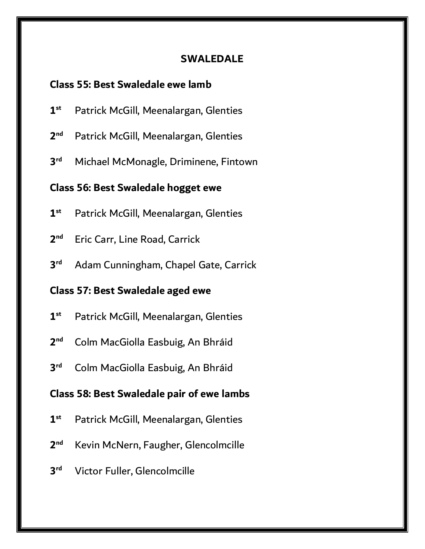#### **SWALEDALE**

#### **Class 55: Best Swaledale ewe lamb**

- **1 st** Patrick McGill, Meenalargan, Glenties
- **2** Patrick McGill, Meenalargan, Glenties
- **3** Michael McMonagle, Driminene, Fintown

#### **Class 56: Best Swaledale hogget ewe**

- **1 st** Patrick McGill, Meenalargan, Glenties
- **2 Eric Carr, Line Road, Carrick**
- **3 rd** Adam Cunningham, Chapel Gate, Carrick

### **Class 57: Best Swaledale aged ewe**

- **1 st** Patrick McGill, Meenalargan, Glenties
- **2 nd** Colm MacGiolla Easbuig, An Bhráid
- **3 rd** Colm MacGiolla Easbuig, An Bhráid

#### **Class 58: Best Swaledale pair of ewe lambs**

- **1 st** Patrick McGill, Meenalargan, Glenties
- **2 nd** Kevin McNern, Faugher, Glencolmcille
- **3 Victor Fuller, Glencolmcille**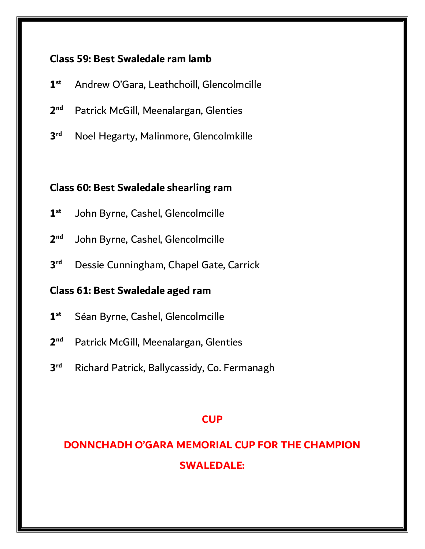### **Class 59: Best Swaledale ram lamb**

- **1 st** Andrew O'Gara, Leathchoill, Glencolmcille
- **2** Patrick McGill, Meenalargan, Glenties
- **3 rd** Noel Hegarty, Malinmore, Glencolmkille

### **Class 60: Best Swaledale shearling ram**

- **1 st** John Byrne, Cashel, Glencolmcille
- **2** John Byrne, Cashel, Glencolmcille
- **3 rd** Dessie Cunningham, Chapel Gate, Carrick

### **Class 61: Best Swaledale aged ram**

- **1 st** Séan Byrne, Cashel, Glencolmcille
- **2** Patrick McGill, Meenalargan, Glenties
- **3** Richard Patrick, Ballycassidy, Co. Fermanagh

#### **CUP**

# **DONNCHADH O'GARA MEMORIAL CUP FOR THE CHAMPION SWALEDALE:**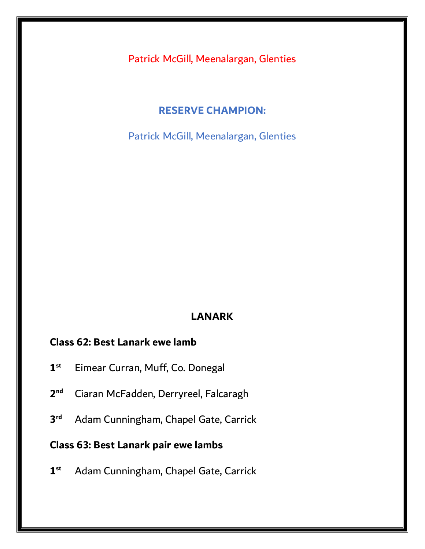Patrick McGill, Meenalargan, Glenties

#### **RESERVE CHAMPION:**

Patrick McGill, Meenalargan, Glenties

#### **LANARK**

### **Class 62: Best Lanark ewe lamb**

- **1 st** Eimear Curran, Muff, Co. Donegal
- **2 nd** Ciaran McFadden, Derryreel, Falcaragh
- **3 rd** Adam Cunningham, Chapel Gate, Carrick

### **Class 63: Best Lanark pair ewe lambs**

**1 st** Adam Cunningham, Chapel Gate, Carrick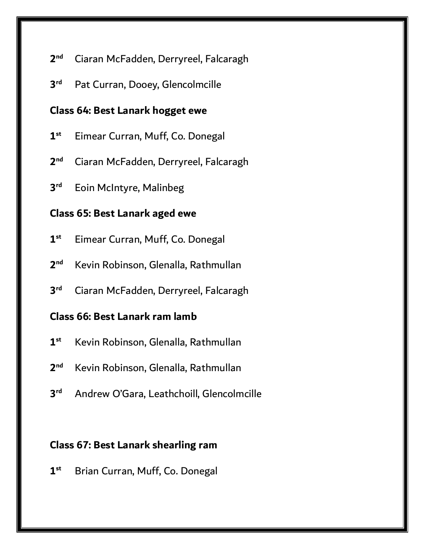#### **2 nd** Ciaran McFadden, Derryreel, Falcaragh

**3** Pat Curran, Dooey, Glencolmcille

#### **Class 64: Best Lanark hogget ewe**

- **1 st** Eimear Curran, Muff, Co. Donegal
- **2 nd** Ciaran McFadden, Derryreel, Falcaragh
- **3 Eoin McIntyre, Malinbeg**

#### **Class 65: Best Lanark aged ewe**

- **1 st** Eimear Curran, Muff, Co. Donegal
- **2 nd** Kevin Robinson, Glenalla, Rathmullan
- **3 rd** Ciaran McFadden, Derryreel, Falcaragh

#### **Class 66: Best Lanark ram lamb**

- **1 st** Kevin Robinson, Glenalla, Rathmullan
- $2<sub>nd</sub>$ **nd** Kevin Robinson, Glenalla, Rathmullan
- **3 rd** Andrew O'Gara, Leathchoill, Glencolmcille

#### **Class 67: Best Lanark shearling ram**

**1 st** Brian Curran, Muff, Co. Donegal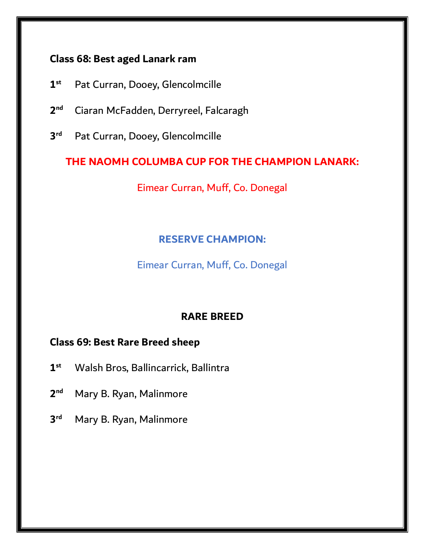### **Class 68: Best aged Lanark ram**

- **1 st** Pat Curran, Dooey, Glencolmcille
- **2 nd** Ciaran McFadden, Derryreel, Falcaragh
- **3** Pat Curran, Dooey, Glencolmcille

### **THE NAOMH COLUMBA CUP FOR THE CHAMPION LANARK:**

Eimear Curran, Muff, Co. Donegal

### **RESERVE CHAMPION:**

Eimear Curran, Muff, Co. Donegal

### **RARE BREED**

### **Class 69: Best Rare Breed sheep**

- **1 st** Walsh Bros, Ballincarrick, Ballintra
- **2 Mary B. Ryan, Malinmore**
- **3 Mary B. Ryan, Malinmore**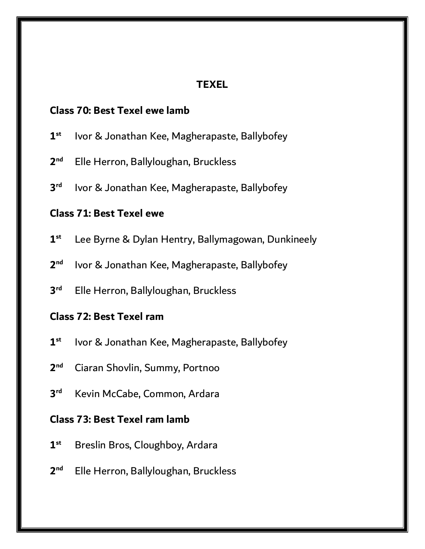### **TEXEL**

#### **Class 70: Best Texel ewe lamb**

- **1 st** Ivor & Jonathan Kee, Magherapaste, Ballybofey
- **2 nd** Elle Herron, Ballyloughan, Bruckless
- **3** Ivor & Jonathan Kee, Magherapaste, Ballybofey

#### **Class 71: Best Texel ewe**

- **1 st** Lee Byrne & Dylan Hentry, Ballymagowan, Dunkineely
- **2** Ivor & Jonathan Kee, Magherapaste, Ballybofey
- **3 rd** Elle Herron, Ballyloughan, Bruckless

#### **Class 72: Best Texel ram**

- **1 st** Ivor & Jonathan Kee, Magherapaste, Ballybofey
- $2<sub>nd</sub>$ **nd** Ciaran Shovlin, Summy, Portnoo
- **3 Kevin McCabe, Common, Ardara**

#### **Class 73: Best Texel ram lamb**

- **1 st** Breslin Bros, Cloughboy, Ardara
- **2 nd** Elle Herron, Ballyloughan, Bruckless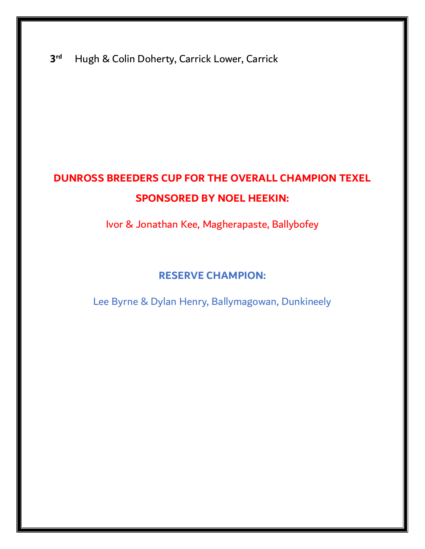**3** Hugh & Colin Doherty, Carrick Lower, Carrick

# **DUNROSS BREEDERS CUP FOR THE OVERALL CHAMPION TEXEL SPONSORED BY NOEL HEEKIN:**

Ivor & Jonathan Kee, Magherapaste, Ballybofey

### **RESERVE CHAMPION:**

Lee Byrne & Dylan Henry, Ballymagowan, Dunkineely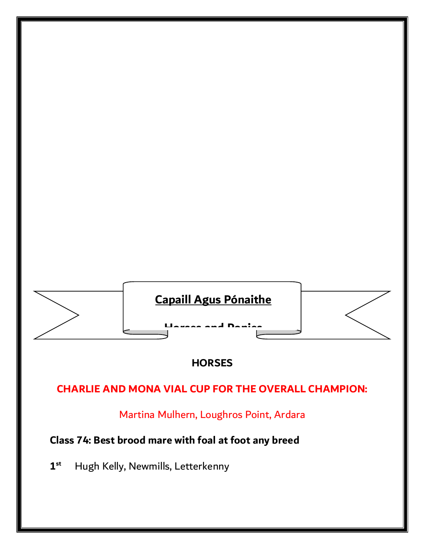

### **HORSES**

### **CHARLIE AND MONA VIAL CUP FOR THE OVERALL CHAMPION:**

Martina Mulhern, Loughros Point, Ardara

## **Class 74: Best brood mare with foal at foot any breed**

**1 st** Hugh Kelly, Newmills, Letterkenny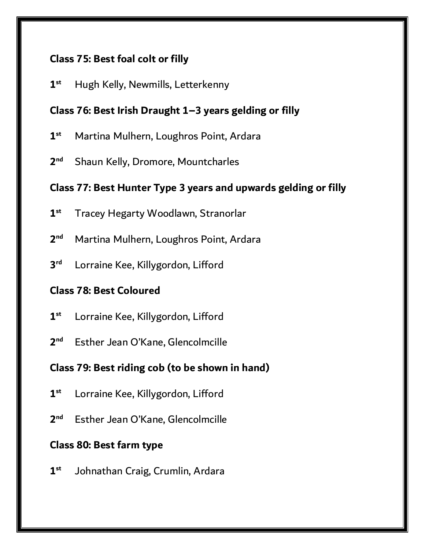### **Class 75: Best foal colt or filly**

**1 st** Hugh Kelly, Newmills, Letterkenny

### **Class 76: Best Irish Draught 1–3 years gelding or filly**

- **1 st** Martina Mulhern, Loughros Point, Ardara
- **2 Shaun Kelly, Dromore, Mountcharles**

### **Class 77: Best Hunter Type 3 years and upwards gelding or filly**

- **1 st** Tracey Hegarty Woodlawn, Stranorlar
- **2 nd** Martina Mulhern, Loughros Point, Ardara
- **3** Lorraine Kee, Killygordon, Lifford

### **Class 78: Best Coloured**

- **1 st** Lorraine Kee, Killygordon, Lifford
- **2** Esther Jean O'Kane, Glencolmcille

### **Class 79: Best riding cob (to be shown in hand)**

- **1 st** Lorraine Kee, Killygordon, Lifford
- **2** Esther Jean O'Kane, Glencolmcille

### **Class 80: Best farm type**

**1 st** Johnathan Craig, Crumlin, Ardara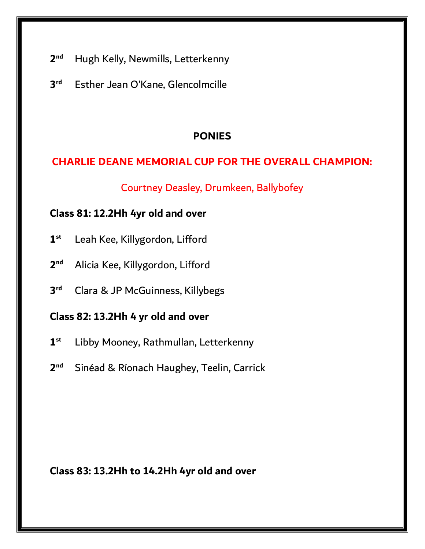- **2 Hugh Kelly, Newmills, Letterkenny**
- **3** Esther Jean O'Kane, Glencolmcille

### **PONIES**

### **CHARLIE DEANE MEMORIAL CUP FOR THE OVERALL CHAMPION:**

Courtney Deasley, Drumkeen, Ballybofey

### **Class 81: 12.2Hh 4yr old and over**

- **1 st** Leah Kee, Killygordon, Lifford
- **2 nd** Alicia Kee, Killygordon, Lifford
- **3 rd** Clara & JP McGuinness, Killybegs

### **Class 82: 13.2Hh 4 yr old and over**

- **1 st** Libby Mooney, Rathmullan, Letterkenny
- $2<sup>nd</sup>$ **nd** Sinéad & Ríonach Haughey, Teelin, Carrick

**Class 83: 13.2Hh to 14.2Hh 4yr old and over**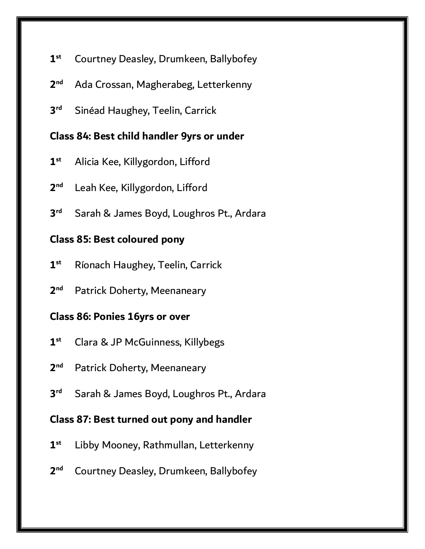- **1 st** Courtney Deasley, Drumkeen, Ballybofey
- **2 nd** Ada Crossan, Magherabeg, Letterkenny
- **3 Sinéad Haughey, Teelin, Carrick**

### **Class 84: Best child handler 9yrs or under**

- **1 st** Alicia Kee, Killygordon, Lifford
- **2** Leah Kee, Killygordon, Lifford
- **3** Sarah & James Boyd, Loughros Pt., Ardara

#### **Class 85: Best coloured pony**

- **1 st** Ríonach Haughey, Teelin, Carrick
- **2** Patrick Doherty, Meenaneary

#### **Class 86: Ponies 16yrs or over**

- **1 st** Clara & JP McGuinness, Killybegs
- **2** Patrick Doherty, Meenaneary
- **3** Sarah & James Boyd, Loughros Pt., Ardara

#### **Class 87: Best turned out pony and handler**

- **1 st** Libby Mooney, Rathmullan, Letterkenny
- **2 nd** Courtney Deasley, Drumkeen, Ballybofey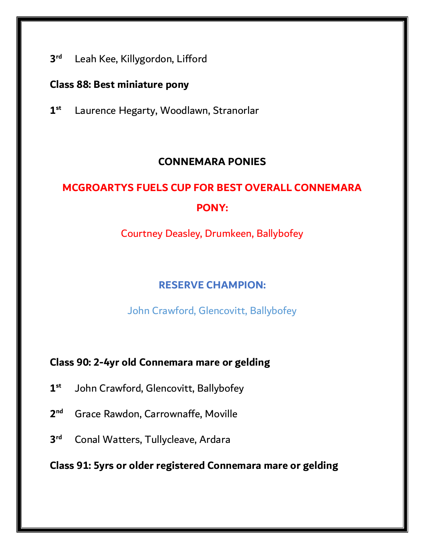**3** Leah Kee, Killygordon, Lifford

#### **Class 88: Best miniature pony**

**1 st** Laurence Hegarty, Woodlawn, Stranorlar

### **CONNEMARA PONIES**

# **MCGROARTYS FUELS CUP FOR BEST OVERALL CONNEMARA PONY:**

Courtney Deasley, Drumkeen, Ballybofey

### **RESERVE CHAMPION:**

John Crawford, Glencovitt, Ballybofey

### **Class 90: 2-4yr old Connemara mare or gelding**

- **1 st** John Crawford, Glencovitt, Ballybofey
- **2 nd** Grace Rawdon, Carrownaffe, Moville
- **3 Conal Watters, Tullycleave, Ardara**

**Class 91: 5yrs or older registered Connemara mare or gelding**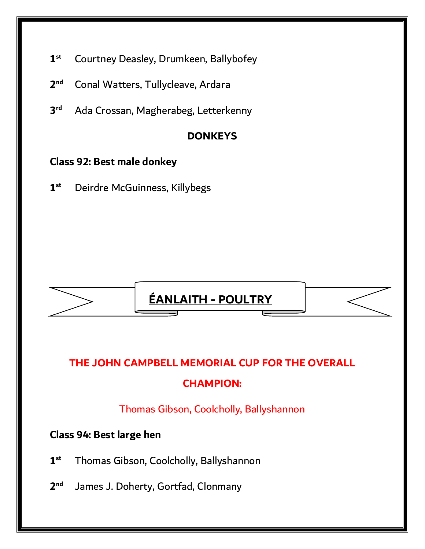- **1 st** Courtney Deasley, Drumkeen, Ballybofey
- **2 nd** Conal Watters, Tullycleave, Ardara
- **3 rd** Ada Crossan, Magherabeg, Letterkenny

### **DONKEYS**

### **Class 92: Best male donkey**

**1 st** Deirdre McGuinness, Killybegs





### **CHAMPION:**

Thomas Gibson, Coolcholly, Ballyshannon

### **Class 94: Best large hen**

- **1 st** Thomas Gibson, Coolcholly, Ballyshannon
- $2<sup>nd</sup>$ James J. Doherty, Gortfad, Clonmany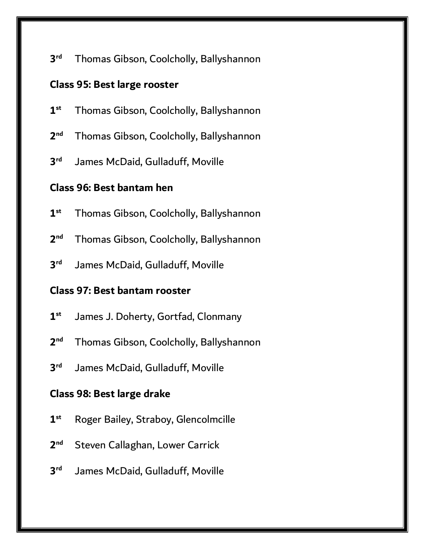**3** Thomas Gibson, Coolcholly, Ballyshannon

#### **Class 95: Best large rooster**

- **1 st** Thomas Gibson, Coolcholly, Ballyshannon
- **2 nd** Thomas Gibson, Coolcholly, Ballyshannon
- **3** James McDaid, Gulladuff, Moville

### **Class 96: Best bantam hen**

- **1 st** Thomas Gibson, Coolcholly, Ballyshannon
- **2 nd** Thomas Gibson, Coolcholly, Ballyshannon
- **3** James McDaid, Gulladuff, Moville

### **Class 97: Best bantam rooster**

- **1 st** James J. Doherty, Gortfad, Clonmany
- **2 nd** Thomas Gibson, Coolcholly, Ballyshannon
- **3** James McDaid, Gulladuff, Moville

### **Class 98: Best large drake**

- **1 st** Roger Bailey, Straboy, Glencolmcille
- **2 Steven Callaghan, Lower Carrick**
- **3** James McDaid, Gulladuff, Moville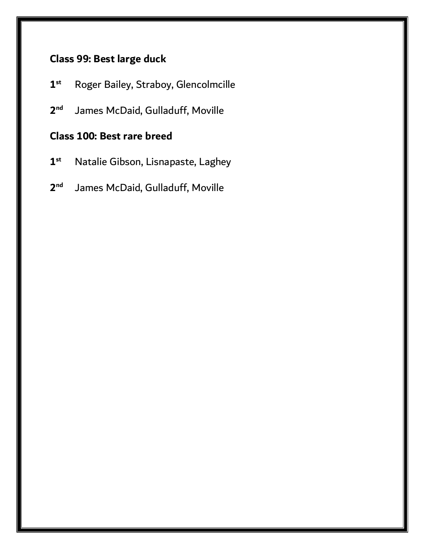### **Class 99: Best large duck**

- **1 st** Roger Bailey, Straboy, Glencolmcille
- **2** James McDaid, Gulladuff, Moville

### **Class 100: Best rare breed**

- **1 st** Natalie Gibson, Lisnapaste, Laghey
- **2** James McDaid, Gulladuff, Moville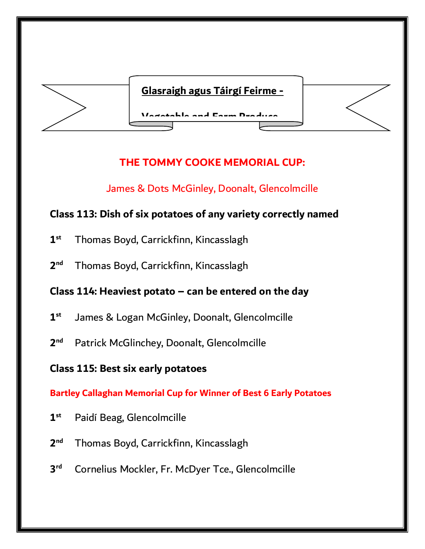

## **THE TOMMY COOKE MEMORIAL CUP:**

### James & Dots McGinley, Doonalt, Glencolmcille

### **Class 113: Dish of six potatoes of any variety correctly named**

- **1 st** Thomas Boyd, Carrickfinn, Kincasslagh
- **2 nd** Thomas Boyd, Carrickfinn, Kincasslagh

### **Class 114: Heaviest potato – can be entered on the day**

- **1 st** James & Logan McGinley, Doonalt, Glencolmcille
- **2** Patrick McGlinchey, Doonalt, Glencolmcille

### **Class 115: Best six early potatoes**

**Bartley Callaghan Memorial Cup for Winner of Best 6 Early Potatoes**

- **1 st** Paidí Beag, Glencolmcille
- **2 nd** Thomas Boyd, Carrickfinn, Kincasslagh
- **3 rd** Cornelius Mockler, Fr. McDyer Tce., Glencolmcille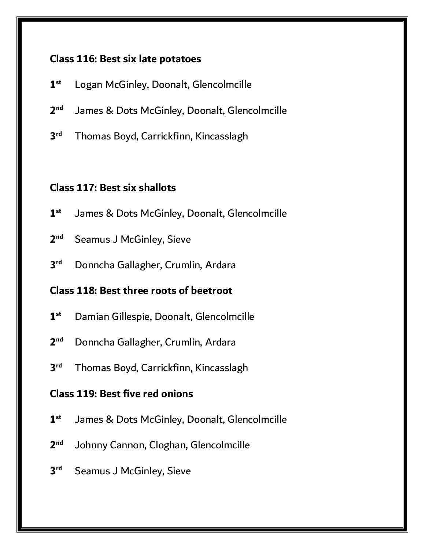### **Class 116: Best six late potatoes**

- **1 st** Logan McGinley, Doonalt, Glencolmcille
- **2** James & Dots McGinley, Doonalt, Glencolmcille
- **3** Thomas Boyd, Carrickfinn, Kincasslagh

#### **Class 117: Best six shallots**

- **1 st** James & Dots McGinley, Doonalt, Glencolmcille
- **2 Seamus J McGinley, Sieve**
- **3 rd** Donncha Gallagher, Crumlin, Ardara

### **Class 118: Best three roots of beetroot**

- **1 st** Damian Gillespie, Doonalt, Glencolmcille
- **2 nd** Donncha Gallagher, Crumlin, Ardara
- **3** Thomas Boyd, Carrickfinn, Kincasslagh

### **Class 119: Best five red onions**

- **1 st** James & Dots McGinley, Doonalt, Glencolmcille
- **2** Johnny Cannon, Cloghan, Glencolmcille
- **3 Seamus J McGinley, Sieve**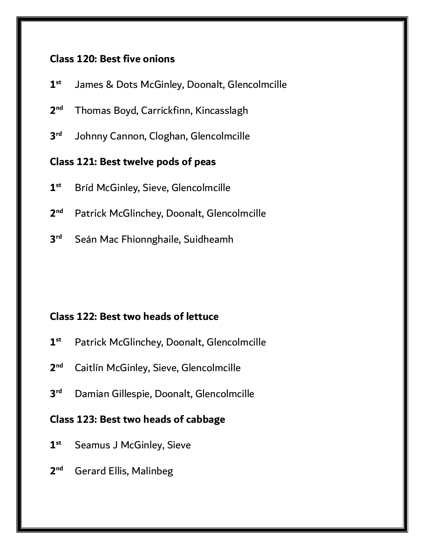#### **Class 120: Best five onions**

- **1 st** James & Dots McGinley, Doonalt, Glencolmcille
- **2 nd** Thomas Boyd, Carrickfinn, Kincasslagh
- **3** Johnny Cannon, Cloghan, Glencolmcille

#### **Class 121: Best twelve pods of peas**

- **1 st** Bríd McGinley, Sieve, Glencolmcille
- **2** Patrick McGlinchey, Doonalt, Glencolmcille
- **3** Seán Mac Fhionnghaile, Suidheamh

#### **Class 122: Best two heads of lettuce**

- **1 st** Patrick McGlinchey, Doonalt, Glencolmcille
- $2<sub>nd</sub>$ **Caitlín McGinley, Sieve, Glencolmcille**
- **3 rd** Damian Gillespie, Doonalt, Glencolmcille

#### **Class 123: Best two heads of cabbage**

- **1 Seamus J McGinley, Sieve**
- **2 nd** Gerard Ellis, Malinbeg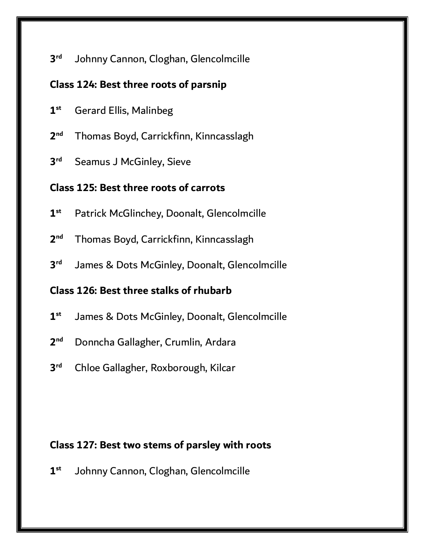**3** Johnny Cannon, Cloghan, Glencolmcille

#### **Class 124: Best three roots of parsnip**

**1 st** Gerard Ellis, Malinbeg

**2 nd** Thomas Boyd, Carrickfinn, Kinncasslagh

**3 Seamus J McGinley, Sieve** 

## **Class 125: Best three roots of carrots**

- **1 st** Patrick McGlinchey, Doonalt, Glencolmcille
- **2 nd** Thomas Boyd, Carrickfinn, Kinncasslagh
- **3** James & Dots McGinley, Doonalt, Glencolmcille

# **Class 126: Best three stalks of rhubarb**

- **1 st** James & Dots McGinley, Doonalt, Glencolmcille
- **2 nd** Donncha Gallagher, Crumlin, Ardara
- **3 rd** Chloe Gallagher, Roxborough, Kilcar

# **Class 127: Best two stems of parsley with roots**

**1 st** Johnny Cannon, Cloghan, Glencolmcille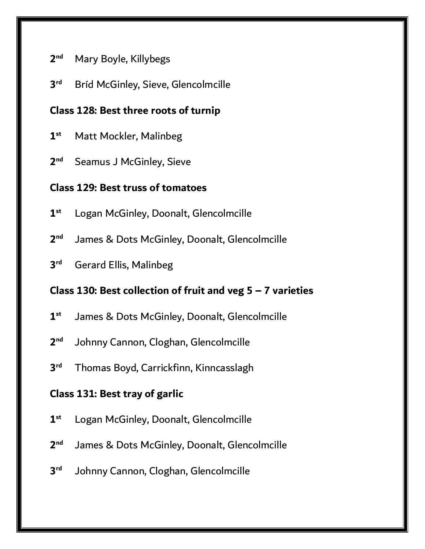#### **2 nd** Mary Boyle, Killybegs

**3 Bríd McGinley, Sieve, Glencolmcille** 

## **Class 128: Best three roots of turnip**

- **1 Matt Mockler, Malinbeg**
- **2 Seamus J McGinley, Sieve**

#### **Class 129: Best truss of tomatoes**

- **1 st** Logan McGinley, Doonalt, Glencolmcille
- **2** James & Dots McGinley, Doonalt, Glencolmcille
- **3 rd** Gerard Ellis, Malinbeg

#### **Class 130: Best collection of fruit and veg 5 – 7 varieties**

- **1 st** James & Dots McGinley, Doonalt, Glencolmcille
- **2** Johnny Cannon, Cloghan, Glencolmcille
- **3 rd** Thomas Boyd, Carrickfinn, Kinncasslagh

#### **Class 131: Best tray of garlic**

- **1 st** Logan McGinley, Doonalt, Glencolmcille
- **2** James & Dots McGinley, Doonalt, Glencolmcille
- **3** Johnny Cannon, Cloghan, Glencolmcille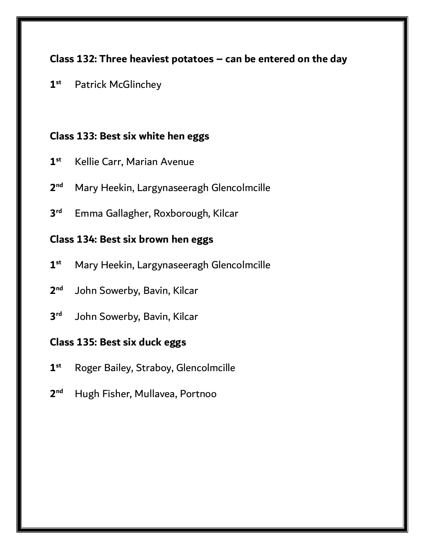# **Class 132: Three heaviest potatoes – can be entered on the day**

**1 st** Patrick McGlinchey

#### **Class 133: Best six white hen eggs**

- **1 st** Kellie Carr, Marian Avenue
- **2 nd** Mary Heekin, Largynaseeragh Glencolmcille
- **3 rd** Emma Gallagher, Roxborough, Kilcar

## **Class 134: Best six brown hen eggs**

- **1 st** Mary Heekin, Largynaseeragh Glencolmcille
- **2** John Sowerby, Bavin, Kilcar
- **3** John Sowerby, Bavin, Kilcar

#### **Class 135: Best six duck eggs**

- **1 st** Roger Bailey, Straboy, Glencolmcille
- **2 nd** Hugh Fisher, Mullavea, Portnoo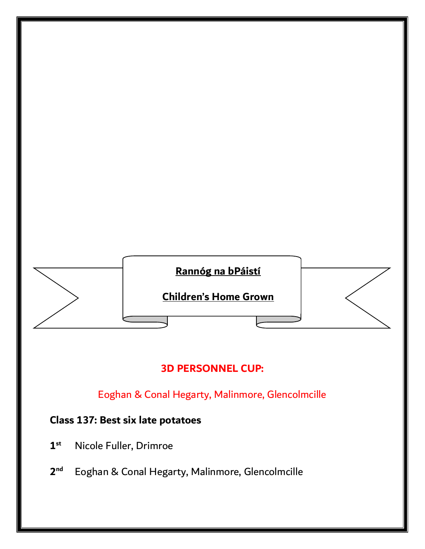

# **3D PERSONNEL CUP:**

Eoghan & Conal Hegarty, Malinmore, Glencolmcille

# **Class 137: Best six late potatoes**

- **1 st** Nicole Fuller, Drimroe
- **2 nd** Eoghan & Conal Hegarty, Malinmore, Glencolmcille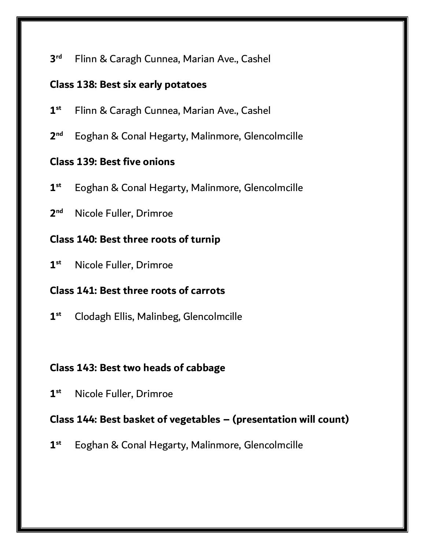#### **3** Flinn & Caragh Cunnea, Marian Ave., Cashel

#### **Class 138: Best six early potatoes**

- **1 st** Flinn & Caragh Cunnea, Marian Ave., Cashel
- **2** Eoghan & Conal Hegarty, Malinmore, Glencolmcille

# **Class 139: Best five onions**

- **1 st** Eoghan & Conal Hegarty, Malinmore, Glencolmcille
- **2 Nicole Fuller, Drimroe**

#### **Class 140: Best three roots of turnip**

**1 st** Nicole Fuller, Drimroe

# **Class 141: Best three roots of carrots**

**1 st** Clodagh Ellis, Malinbeg, Glencolmcille

#### **Class 143: Best two heads of cabbage**

**1 st** Nicole Fuller, Drimroe

#### **Class 144: Best basket of vegetables – (presentation will count)**

**1 st** Eoghan & Conal Hegarty, Malinmore, Glencolmcille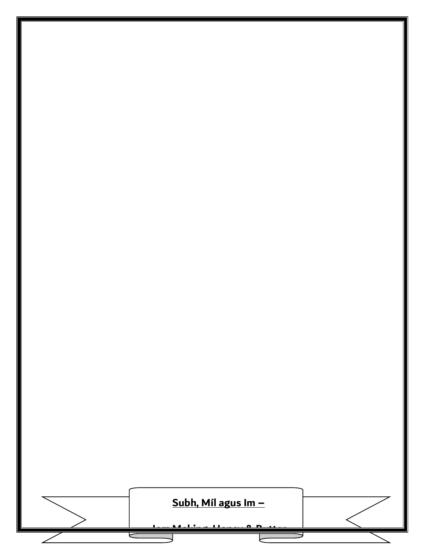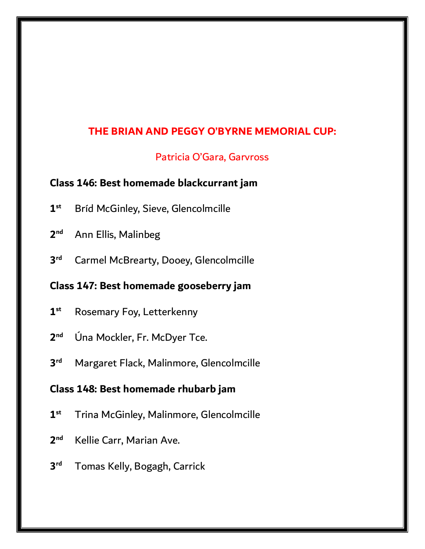# **THE BRIAN AND PEGGY O'BYRNE MEMORIAL CUP:**

#### Patricia O'Gara, Garvross

#### **Class 146: Best homemade blackcurrant jam**

- **1 st** Bríd McGinley, Sieve, Glencolmcille
- **2 Ann Ellis, Malinbeg**
- **3 Carmel McBrearty, Dooey, Glencolmcille**

#### **Class 147: Best homemade gooseberry jam**

- **1 Rosemary Foy, Letterkenny**
- **2 nd** Úna Mockler, Fr. McDyer Tce.
- **3 rd** Margaret Flack, Malinmore, Glencolmcille

#### **Class 148: Best homemade rhubarb jam**

- **1 st** Trina McGinley, Malinmore, Glencolmcille
- **2 nd** Kellie Carr, Marian Ave.
- **3** Tomas Kelly, Bogagh, Carrick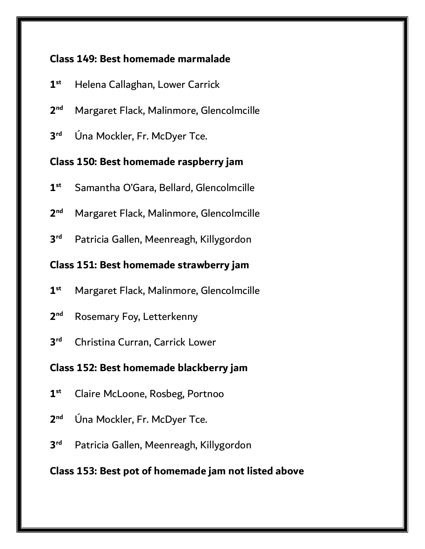# **Class 149: Best homemade marmalade**

- **1 st** Helena Callaghan, Lower Carrick
- **2 nd** Margaret Flack, Malinmore, Glencolmcille
- **3 rd** Úna Mockler, Fr. McDyer Tce.

## **Class 150: Best homemade raspberry jam**

- **1 st** Samantha O'Gara, Bellard, Glencolmcille
- **2 nd** Margaret Flack, Malinmore, Glencolmcille
- **3** Patricia Gallen, Meenreagh, Killygordon

# **Class 151: Best homemade strawberry jam**

- **1 st** Margaret Flack, Malinmore, Glencolmcille
- **2 Rosemary Foy, Letterkenny**
- **3 rd** Christina Curran, Carrick Lower

# **Class 152: Best homemade blackberry jam**

- **1 st** Claire McLoone, Rosbeg, Portnoo
- **2 nd** Úna Mockler, Fr. McDyer Tce.
- **3** Patricia Gallen, Meenreagh, Killygordon

# **Class 153: Best pot of homemade jam not listed above**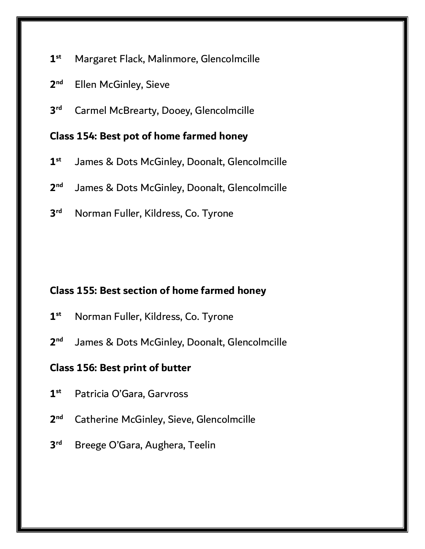- **1 st** Margaret Flack, Malinmore, Glencolmcille
- **2 Ellen McGinley, Sieve**
- **3 Carmel McBrearty, Dooey, Glencolmcille**

#### **Class 154: Best pot of home farmed honey**

- **1 st** James & Dots McGinley, Doonalt, Glencolmcille
- **2** James & Dots McGinley, Doonalt, Glencolmcille
- **3 rd** Norman Fuller, Kildress, Co. Tyrone

#### **Class 155: Best section of home farmed honey**

- **1 st** Norman Fuller, Kildress, Co. Tyrone
- **2** James & Dots McGinley, Doonalt, Glencolmcille

#### **Class 156: Best print of butter**

- **1 st** Patricia O'Gara, Garvross
- **2 nd** Catherine McGinley, Sieve, Glencolmcille
- **3** Breege O'Gara, Aughera, Teelin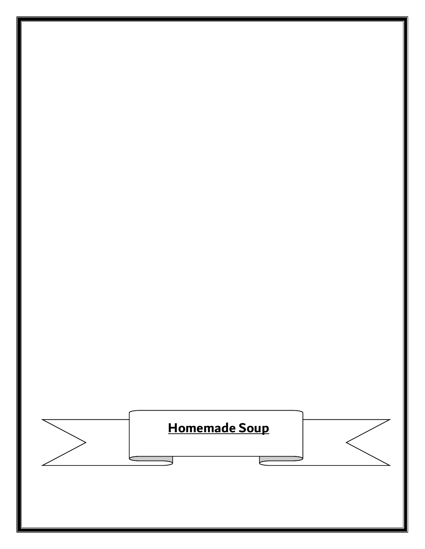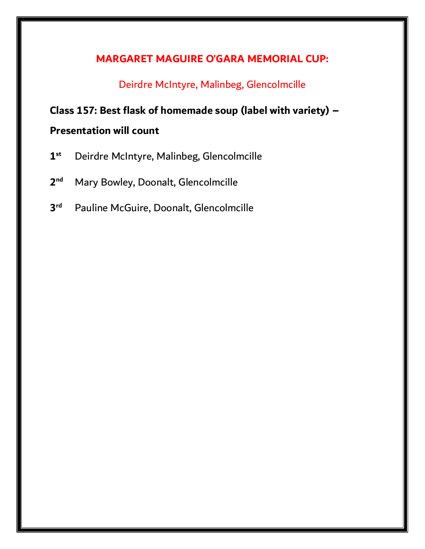# **MARGARET MAGUIRE O'GARA MEMORIAL CUP:**

Deirdre McIntyre, Malinbeg, Glencolmcille

# **Class 157: Best flask of homemade soup (label with variety) –**

# **Presentation will count**

- **1 st** Deirdre McIntyre, Malinbeg, Glencolmcille
- **2** Mary Bowley, Doonalt, Glencolmcille
- **3** Pauline McGuire, Doonalt, Glencolmcille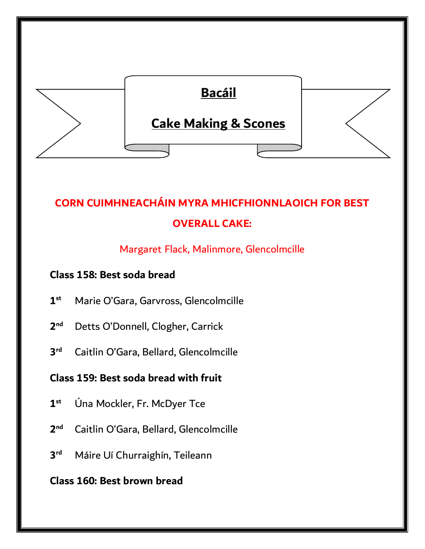

# **CORN CUIMHNEACHÁIN MYRA MHICFHIONNLAOICH FOR BEST OVERALL CAKE:**

# Margaret Flack, Malinmore, Glencolmcille

# **Class 158: Best soda bread**

- **1 st** Marie O'Gara, Garvross, Glencolmcille
- **2** Detts O'Donnell, Clogher, Carrick
- **3** Caitlin O'Gara, Bellard, Glencolmcille

# **Class 159: Best soda bread with fruit**

- **1 st** Úna Mockler, Fr. McDyer Tce
- **2 nd** Caitlin O'Gara, Bellard, Glencolmcille
- **3** Máire Uí Churraighín, Teileann

# **Class 160: Best brown bread**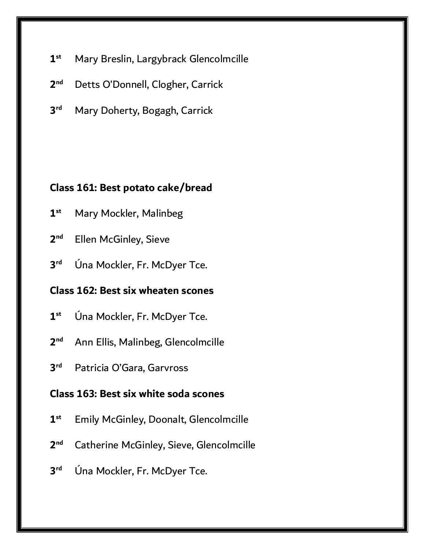- **1 st** Mary Breslin, Largybrack Glencolmcille
- **2** Detts O'Donnell, Clogher, Carrick
- **3 Mary Doherty, Bogagh, Carrick**

#### **Class 161: Best potato cake/bread**

- **1 Mary Mockler, Malinbeg**
- **2 Ellen McGinley, Sieve**
- **3** Úna Mockler, Fr. McDyer Tce.

## **Class 162: Best six wheaten scones**

- **1 st** Úna Mockler, Fr. McDyer Tce.
- **2 nd** Ann Ellis, Malinbeg, Glencolmcille
- **3** Patricia O'Gara, Garvross

#### **Class 163: Best six white soda scones**

- **1 st** Emily McGinley, Doonalt, Glencolmcille
- **2 nd** Catherine McGinley, Sieve, Glencolmcille
- **3 rd** Úna Mockler, Fr. McDyer Tce.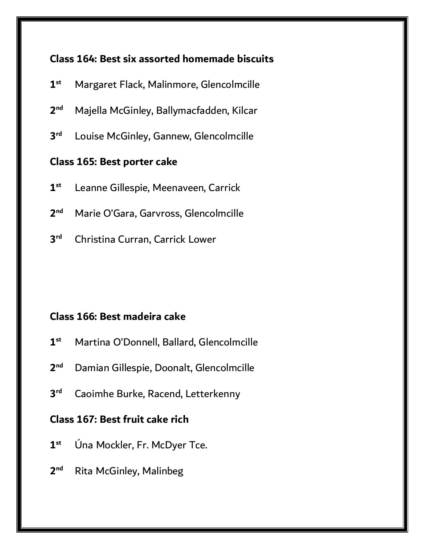# **Class 164: Best six assorted homemade biscuits**

- **1 st** Margaret Flack, Malinmore, Glencolmcille
- **2 nd** Majella McGinley, Ballymacfadden, Kilcar
- **3** Louise McGinley, Gannew, Glencolmcille

#### **Class 165: Best porter cake**

- **1 st** Leanne Gillespie, Meenaveen, Carrick
- **2 nd** Marie O'Gara, Garvross, Glencolmcille
- **3 rd** Christina Curran, Carrick Lower

#### **Class 166: Best madeira cake**

- **1 st** Martina O'Donnell, Ballard, Glencolmcille
- $2<sub>nd</sub>$ **nd** Damian Gillespie, Doonalt, Glencolmcille
- **3 Caoimhe Burke, Racend, Letterkenny**

#### **Class 167: Best fruit cake rich**

- **1 st** Úna Mockler, Fr. McDyer Tce.
- **2 Rita McGinley, Malinbeg**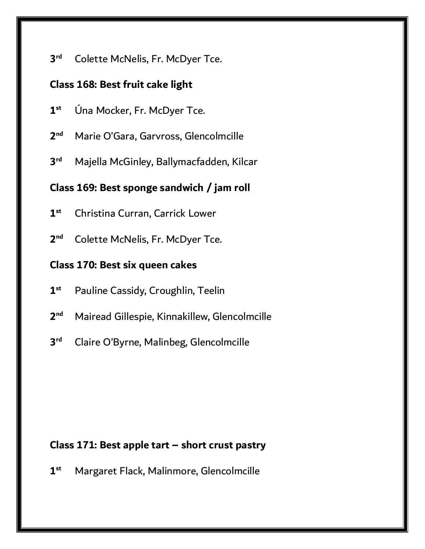**3 Colette McNelis, Fr. McDyer Tce.** 

#### **Class 168: Best fruit cake light**

- **1 st** Úna Mocker, Fr. McDyer Tce.
- **2 nd** Marie O'Gara, Garvross, Glencolmcille
- **3 rd** Majella McGinley, Ballymacfadden, Kilcar

#### **Class 169: Best sponge sandwich / jam roll**

- **1 st** Christina Curran, Carrick Lower
- **2 Colette McNelis, Fr. McDyer Tce.**

#### **Class 170: Best six queen cakes**

- **1 st** Pauline Cassidy, Croughlin, Teelin
- **2 nd** Mairead Gillespie, Kinnakillew, Glencolmcille
- **3 rd** Claire O'Byrne, Malinbeg, Glencolmcille

#### **Class 171: Best apple tart – short crust pastry**

**1 st** Margaret Flack, Malinmore, Glencolmcille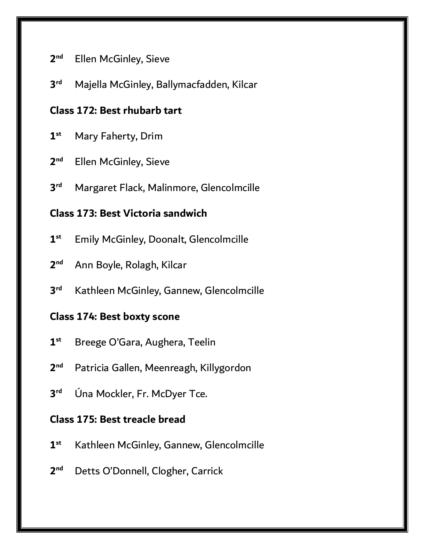#### **2 Ellen McGinley, Sieve**

**3 rd** Majella McGinley, Ballymacfadden, Kilcar

#### **Class 172: Best rhubarb tart**

- **1 st** Mary Faherty, Drim
- **2 Ellen McGinley, Sieve**
- **3 rd** Margaret Flack, Malinmore, Glencolmcille

# **Class 173: Best Victoria sandwich**

- **1 st** Emily McGinley, Doonalt, Glencolmcille
- **2 nd** Ann Boyle, Rolagh, Kilcar
- **3** Kathleen McGinley, Gannew, Glencolmcille

#### **Class 174: Best boxty scone**

- **1 st** Breege O'Gara, Aughera, Teelin
- $2<sub>nd</sub>$ Patricia Gallen, Meenreagh, Killygordon
- **3 rd** Úna Mockler, Fr. McDyer Tce.

#### **Class 175: Best treacle bread**

- **1 st** Kathleen McGinley, Gannew, Glencolmcille
- **2** Detts O'Donnell, Clogher, Carrick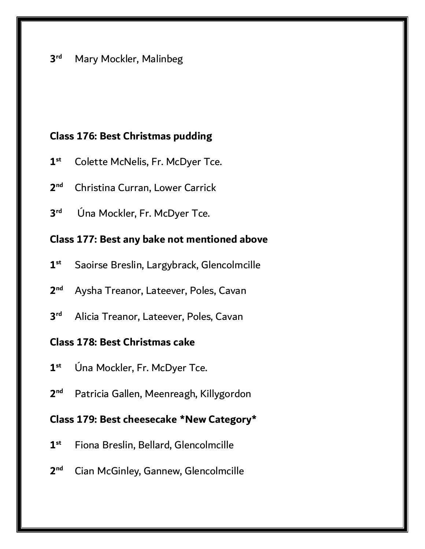#### **Class 176: Best Christmas pudding**

- **1 st** Colette McNelis, Fr. McDyer Tce.
- **2 nd** Christina Curran, Lower Carrick
- **3 rd** Úna Mockler, Fr. McDyer Tce.

## **Class 177: Best any bake not mentioned above**

- **1 st** Saoirse Breslin, Largybrack, Glencolmcille
- **2 nd** Aysha Treanor, Lateever, Poles, Cavan
- **3 rd** Alicia Treanor, Lateever, Poles, Cavan

# **Class 178: Best Christmas cake**

- **1 st** Úna Mockler, Fr. McDyer Tce.
- **2** Patricia Gallen, Meenreagh, Killygordon

## **Class 179: Best cheesecake \*New Category\***

- **1 st** Fiona Breslin, Bellard, Glencolmcille
- **2 nd** Cian McGinley, Gannew, Glencolmcille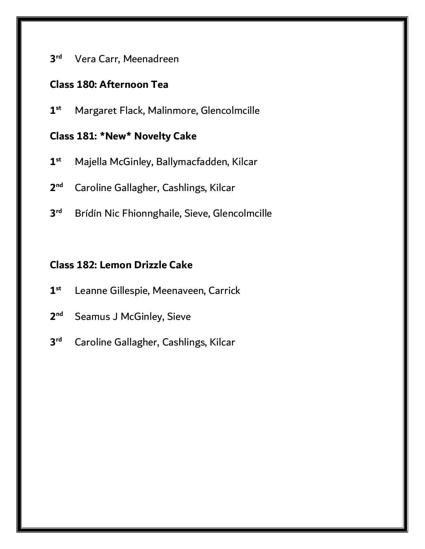#### **3 rd** Vera Carr, Meenadreen

#### **Class 180: Afternoon Tea**

**1 st** Margaret Flack, Malinmore, Glencolmcille

## **Class 181: \*New\* Novelty Cake**

- **1 st** Majella McGinley, Ballymacfadden, Kilcar
- **2 nd** Caroline Gallagher, Cashlings, Kilcar
- **3** Brídín Nic Fhionnghaile, Sieve, Glencolmcille

# **Class 182: Lemon Drizzle Cake**

- **1 st** Leanne Gillespie, Meenaveen, Carrick
- **2 Seamus J McGinley, Sieve**
- **3 rd** Caroline Gallagher, Cashlings, Kilcar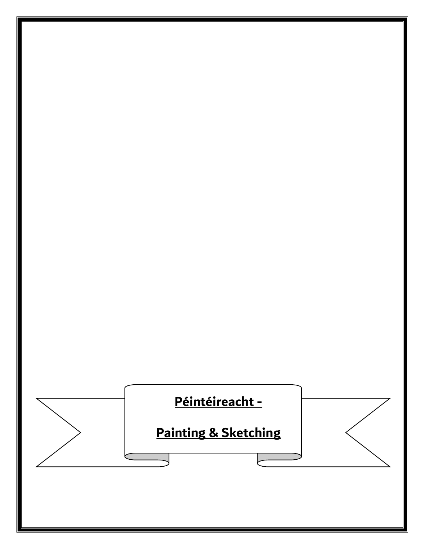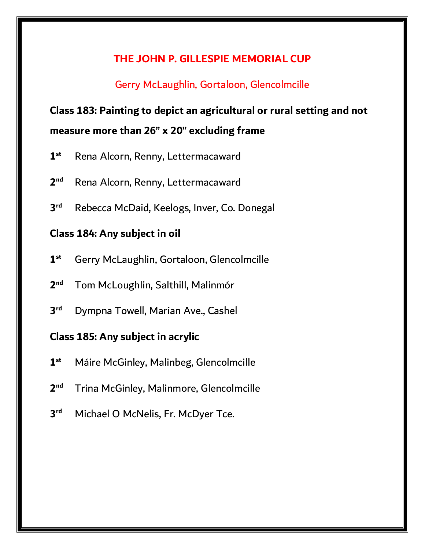#### **THE JOHN P. GILLESPIE MEMORIAL CUP**

#### Gerry McLaughlin, Gortaloon, Glencolmcille

# **Class 183: Painting to depict an agricultural or rural setting and not measure more than 26" x 20" excluding frame**

- **1 st** Rena Alcorn, Renny, Lettermacaward
- **2 nd** Rena Alcorn, Renny, Lettermacaward
- **3** Rebecca McDaid, Keelogs, Inver, Co. Donegal

#### **Class 184: Any subject in oil**

- **1 st** Gerry McLaughlin, Gortaloon, Glencolmcille
- **2 nd** Tom McLoughlin, Salthill, Malinmór
- **3 rd** Dympna Towell, Marian Ave., Cashel

# **Class 185: Any subject in acrylic**

- **1 st** Máire McGinley, Malinbeg, Glencolmcille
- **2 nd** Trina McGinley, Malinmore, Glencolmcille
- **3** Michael O McNelis, Fr. McDyer Tce.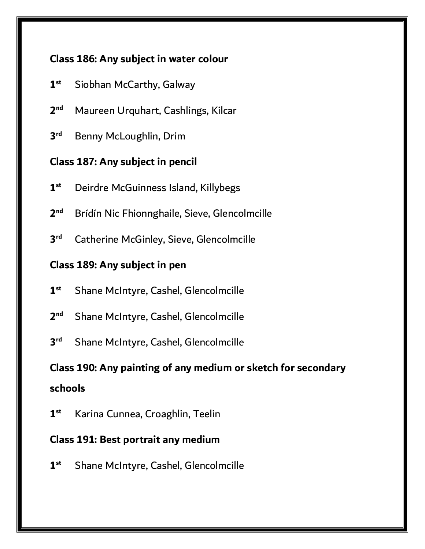# **Class 186: Any subject in water colour**

- **1 st** Siobhan McCarthy, Galway
- **2 nd** Maureen Urquhart, Cashlings, Kilcar
- **3 rd** Benny McLoughlin, Drim

# **Class 187: Any subject in pencil**

- **1 st** Deirdre McGuinness Island, Killybegs
- **2 nd** Brídín Nic Fhionnghaile, Sieve, Glencolmcille
- **3 Catherine McGinley, Sieve, Glencolmcille**

### **Class 189: Any subject in pen**

- **1 st** Shane McIntyre, Cashel, Glencolmcille
- **2 Shane McIntyre, Cashel, Glencolmcille**
- **3 Shane McIntyre, Cashel, Glencolmcille**

# **Class 190: Any painting of any medium or sketch for secondary schools**

**1 st** Karina Cunnea, Croaghlin, Teelin

#### **Class 191: Best portrait any medium**

**1 st** Shane McIntyre, Cashel, Glencolmcille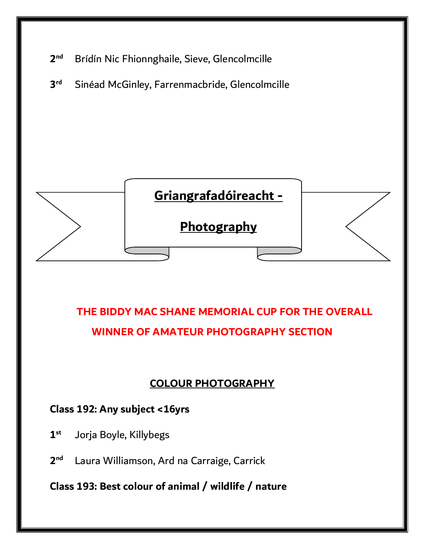

**3** Sinéad McGinley, Farrenmacbride, Glencolmcille



# **THE BIDDY MAC SHANE MEMORIAL CUP FOR THE OVERALL WINNER OF AMATEUR PHOTOGRAPHY SECTION**

# **COLOUR PHOTOGRAPHY**

#### **Class 192: Any subject <16yrs**

- **1 st** Jorja Boyle, Killybegs
- **2** Laura Williamson, Ard na Carraige, Carrick

**Class 193: Best colour of animal / wildlife / nature**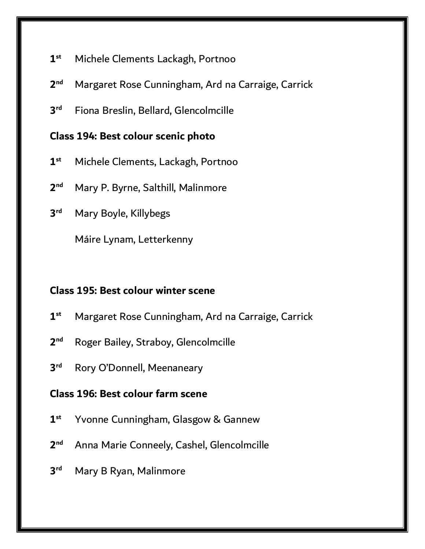- **1 st** Michele Clements Lackagh, Portnoo
- **2 nd** Margaret Rose Cunningham, Ard na Carraige, Carrick
- **3** Fiona Breslin, Bellard, Glencolmcille

#### **Class 194: Best colour scenic photo**

- **1 st** Michele Clements, Lackagh, Portnoo
- **2 nd** Mary P. Byrne, Salthill, Malinmore
- **3 rd** Mary Boyle, Killybegs

Máire Lynam, Letterkenny

#### **Class 195: Best colour winter scene**

- **1 st** Margaret Rose Cunningham, Ard na Carraige, Carrick
- **2** Roger Bailey, Straboy, Glencolmcille
- **3 Rory O'Donnell, Meenaneary**

#### **Class 196: Best colour farm scene**

- **1 st** Yvonne Cunningham, Glasgow & Gannew
- **2** Anna Marie Conneely, Cashel, Glencolmcille
- **3 Mary B Ryan, Malinmore**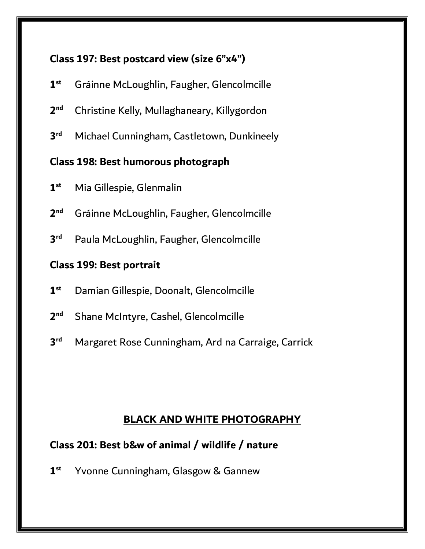# **Class 197: Best postcard view (size 6"x4")**

- **1 st** Gráinne McLoughlin, Faugher, Glencolmcille
- **2 nd** Christine Kelly, Mullaghaneary, Killygordon
- **3 rd** Michael Cunningham, Castletown, Dunkineely

### **Class 198: Best humorous photograph**

- **1 st** Mia Gillespie, Glenmalin
- **2 nd** Gráinne McLoughlin, Faugher, Glencolmcille
- **3** Paula McLoughlin, Faugher, Glencolmcille

# **Class 199: Best portrait**

- **1 st** Damian Gillespie, Doonalt, Glencolmcille
- **2 Shane McIntyre, Cashel, Glencolmcille**
- **3 rd** Margaret Rose Cunningham, Ard na Carraige, Carrick

# **BLACK AND WHITE PHOTOGRAPHY**

# **Class 201: Best b&w of animal / wildlife / nature**

**1 st** Yvonne Cunningham, Glasgow & Gannew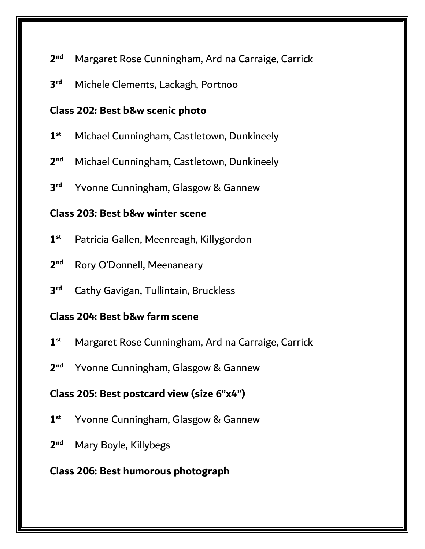#### **2 nd** Margaret Rose Cunningham, Ard na Carraige, Carrick

**3 rd** Michele Clements, Lackagh, Portnoo

#### **Class 202: Best b&w scenic photo**

- **1 st** Michael Cunningham, Castletown, Dunkineely
- **2 nd** Michael Cunningham, Castletown, Dunkineely
- **3** Yvonne Cunningham, Glasgow & Gannew

#### **Class 203: Best b&w winter scene**

- **1 st** Patricia Gallen, Meenreagh, Killygordon
- **2 Rory O'Donnell, Meenaneary**
- **3 Cathy Gavigan, Tullintain, Bruckless**

#### **Class 204: Best b&w farm scene**

- **1 st** Margaret Rose Cunningham, Ard na Carraige, Carrick
- $2<sub>nd</sub>$ Yvonne Cunningham, Glasgow & Gannew

# **Class 205: Best postcard view (size 6"x4")**

- **1 st** Yvonne Cunningham, Glasgow & Gannew
- **2 nd** Mary Boyle, Killybegs

# **Class 206: Best humorous photograph**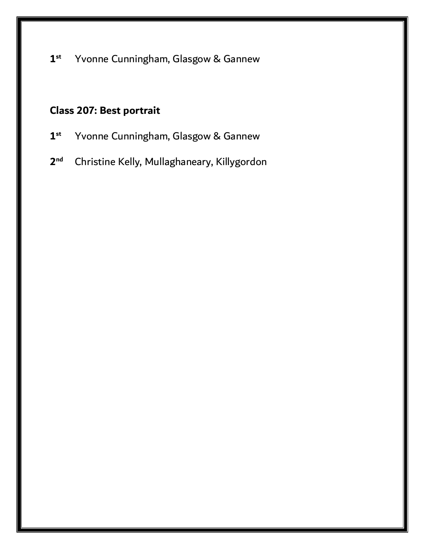**1 st** Yvonne Cunningham, Glasgow & Gannew

# **Class 207: Best portrait**

- **1 st** Yvonne Cunningham, Glasgow & Gannew
- **2 nd** Christine Kelly, Mullaghaneary, Killygordon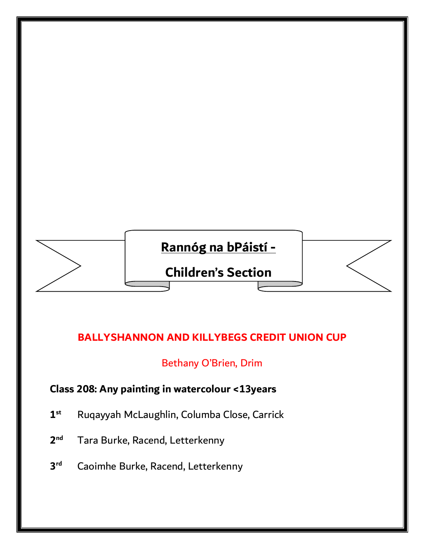

# **BALLYSHANNON AND KILLYBEGS CREDIT UNION CUP**

#### Bethany O'Brien, Drim

# **Class 208: Any painting in watercolour <13years**

- **1 st** Ruqayyah McLaughlin, Columba Close, Carrick
- **2** Tara Burke, Racend, Letterkenny
- **3 Caoimhe Burke, Racend, Letterkenny**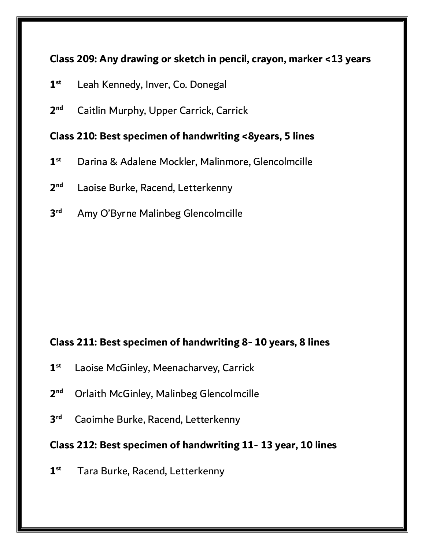# **Class 209: Any drawing or sketch in pencil, crayon, marker <13 years**

- **1 st** Leah Kennedy, Inver, Co. Donegal
- **2 nd** Caitlin Murphy, Upper Carrick, Carrick

#### **Class 210: Best specimen of handwriting <8years, 5 lines**

- **1 st** Darina & Adalene Mockler, Malinmore, Glencolmcille
- **2** Laoise Burke, Racend, Letterkenny
- **3** Amy O'Byrne Malinbeg Glencolmcille

## **Class 211: Best specimen of handwriting 8- 10 years, 8 lines**

- **1 st** Laoise McGinley, Meenacharvey, Carrick
- **2 nd** Orlaith McGinley, Malinbeg Glencolmcille
- **3 Caoimhe Burke, Racend, Letterkenny**

#### **Class 212: Best specimen of handwriting 11- 13 year, 10 lines**

**1 st** Tara Burke, Racend, Letterkenny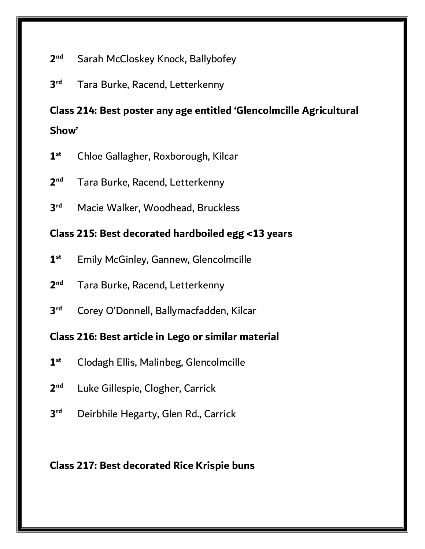#### **2 Sarah McCloskey Knock, Ballybofey**

**3** Tara Burke, Racend, Letterkenny

# **Class 214: Best poster any age entitled 'Glencolmcille Agricultural Show'**

- **1 st** Chloe Gallagher, Roxborough, Kilcar
- **2 nd** Tara Burke, Racend, Letterkenny
- **3** Macie Walker, Woodhead, Bruckless

#### **Class 215: Best decorated hardboiled egg <13 years**

- **1 st** Emily McGinley, Gannew, Glencolmcille
- **2** Tara Burke, Racend, Letterkenny
- **3 rd** Corey O'Donnell, Ballymacfadden, Kilcar

#### **Class 216: Best article in Lego or similar material**

- **1 st** Clodagh Ellis, Malinbeg, Glencolmcille
- **2** Luke Gillespie, Clogher, Carrick
- **3 rd** Deirbhile Hegarty, Glen Rd., Carrick

#### **Class 217: Best decorated Rice Krispie buns**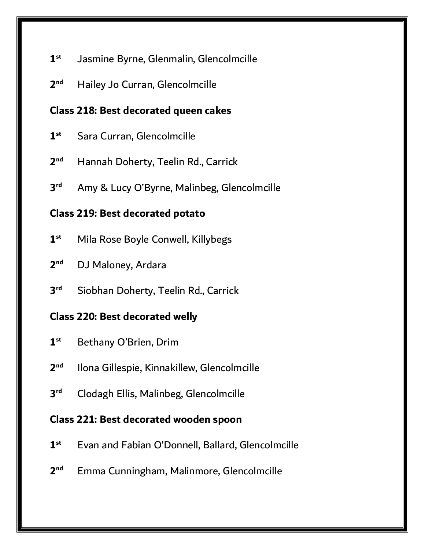#### **1 st** Jasmine Byrne, Glenmalin, Glencolmcille

**2 Hailey Jo Curran, Glencolmcille** 

# **Class 218: Best decorated queen cakes**

- **1 Sara Curran, Glencolmcille**
- **2 nd** Hannah Doherty, Teelin Rd., Carrick
- **3** Amy & Lucy O'Byrne, Malinbeg, Glencolmcille

# **Class 219: Best decorated potato**

- **1 st** Mila Rose Boyle Conwell, Killybegs
- **2 nd** DJ Maloney, Ardara
- **3** Siobhan Doherty, Teelin Rd., Carrick

# **Class 220: Best decorated welly**

- **1 st** Bethany O'Brien, Drim
- $2<sub>nd</sub>$ **nd** Ilona Gillespie, Kinnakillew, Glencolmcille
- **3 rd** Clodagh Ellis, Malinbeg, Glencolmcille

# **Class 221: Best decorated wooden spoon**

- **1 st** Evan and Fabian O'Donnell, Ballard, Glencolmcille
- **2 nd** Emma Cunningham, Malinmore, Glencolmcille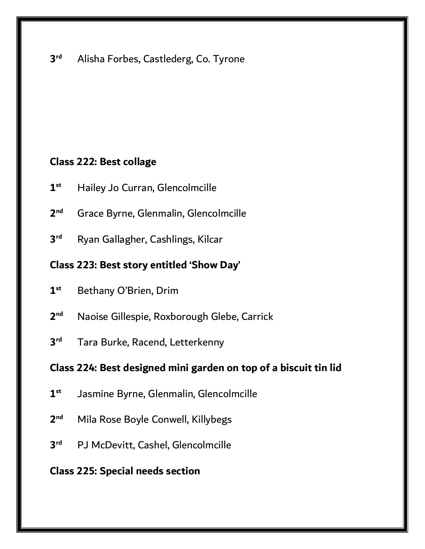#### **3** Alisha Forbes, Castlederg, Co. Tyrone

#### **Class 222: Best collage**

- **1 st** Hailey Jo Curran, Glencolmcille
- **2 nd** Grace Byrne, Glenmalin, Glencolmcille
- **3 rd** Ryan Gallagher, Cashlings, Kilcar

# **Class 223: Best story entitled 'Show Day'**

- **1 st** Bethany O'Brien, Drim
- **2 nd** Naoise Gillespie, Roxborough Glebe, Carrick
- **3** Tara Burke, Racend, Letterkenny

#### **Class 224: Best designed mini garden on top of a biscuit tin lid**

- **1 st** Jasmine Byrne, Glenmalin, Glencolmcille
- **2 Mila Rose Boyle Conwell, Killybegs**
- **3 rd** PJ McDevitt, Cashel, Glencolmcille

#### **Class 225: Special needs section**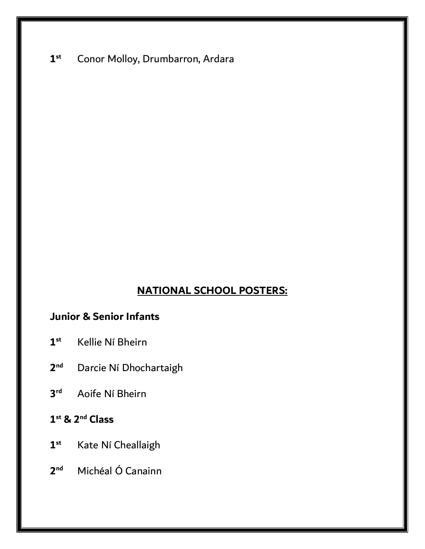#### **1 st** Conor Molloy, Drumbarron, Ardara

#### **NATIONAL SCHOOL POSTERS:**

# **Junior & Senior Infants**

- **1 st** Kellie Ní Bheirn
- **2 Darcie Ní Dhochartaigh**
- **3 rd** Aoife Ní Bheirn
- **1 st & 2nd Class**
- **1 st** Kate Ní Cheallaigh
- **2 nd** Michéal Ó Canainn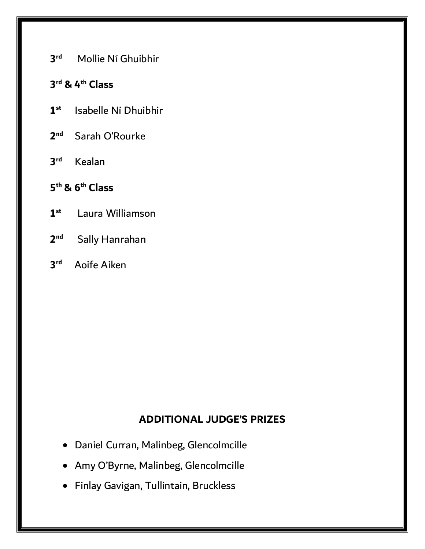**3 rd** Mollie Ní Ghuibhir

### **3 rd & 4th Class**

- **1 st** Isabelle Ní Dhuibhir
- **2** Sarah O'Rourke
- **3 rd** Kealan

# **5 th & 6th Class**

- **1 st** Laura Williamson
- **2 Sally Hanrahan**
- **3 rd** Aoife Aiken

# **ADDITIONAL JUDGE'S PRIZES**

- Daniel Curran, Malinbeg, Glencolmcille
- Amy O'Byrne, Malinbeg, Glencolmcille
- Finlay Gavigan, Tullintain, Bruckless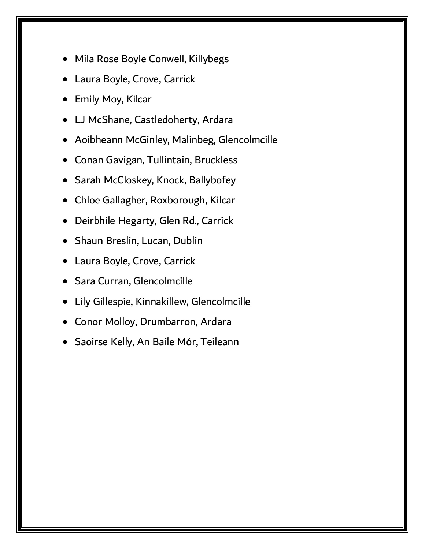- Mila Rose Boyle Conwell, Killybegs
- Laura Boyle, Crove, Carrick
- Emily Moy, Kilcar
- LJ McShane, Castledoherty, Ardara
- Aoibheann McGinley, Malinbeg, Glencolmcille
- Conan Gavigan, Tullintain, Bruckless
- Sarah McCloskey, Knock, Ballybofey
- Chloe Gallagher, Roxborough, Kilcar
- Deirbhile Hegarty, Glen Rd., Carrick
- Shaun Breslin, Lucan, Dublin
- Laura Boyle, Crove, Carrick
- Sara Curran, Glencolmcille
- Lily Gillespie, Kinnakillew, Glencolmcille
- Conor Molloy, Drumbarron, Ardara
- Saoirse Kelly, An Baile Mór, Teileann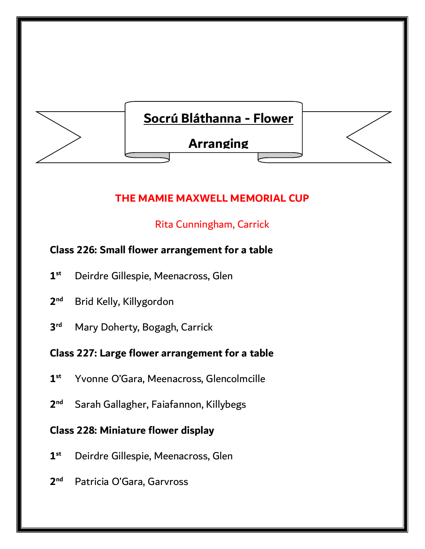

# **THE MAMIE MAXWELL MEMORIAL CUP**

# Rita Cunningham, Carrick

# **Class 226: Small flower arrangement for a table**

- **1 st** Deirdre Gillespie, Meenacross, Glen
- **2 nd** Brid Kelly, Killygordon
- **3 Mary Doherty, Bogagh, Carrick**

# **Class 227: Large flower arrangement for a table**

- **1 st** Yvonne O'Gara, Meenacross, Glencolmcille
- **2 nd** Sarah Gallagher, Faiafannon, Killybegs

# **Class 228: Miniature flower display**

- **1 st** Deirdre Gillespie, Meenacross, Glen
- $2<sup>nd</sup>$ Patricia O'Gara, Garvross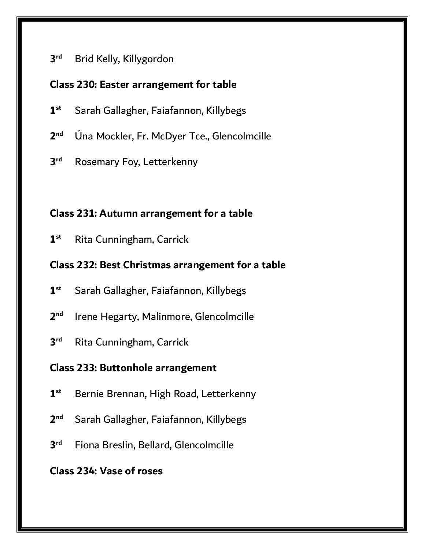#### **3 rd** Brid Kelly, Killygordon

#### **Class 230: Easter arrangement for table**

- **1 st** Sarah Gallagher, Faiafannon, Killybegs
- **2 nd** Úna Mockler, Fr. McDyer Tce., Glencolmcille
- **3 Rosemary Foy, Letterkenny**

### **Class 231: Autumn arrangement for a table**

**1 st** Rita Cunningham, Carrick

#### **Class 232: Best Christmas arrangement for a table**

- **1 st** Sarah Gallagher, Faiafannon, Killybegs
- **2 nd** Irene Hegarty, Malinmore, Glencolmcille
- **3 Rita Cunningham, Carrick**

#### **Class 233: Buttonhole arrangement**

- **1 st** Bernie Brennan, High Road, Letterkenny
- **2 nd** Sarah Gallagher, Faiafannon, Killybegs
- **3** Fiona Breslin, Bellard, Glencolmcille

### **Class 234: Vase of roses**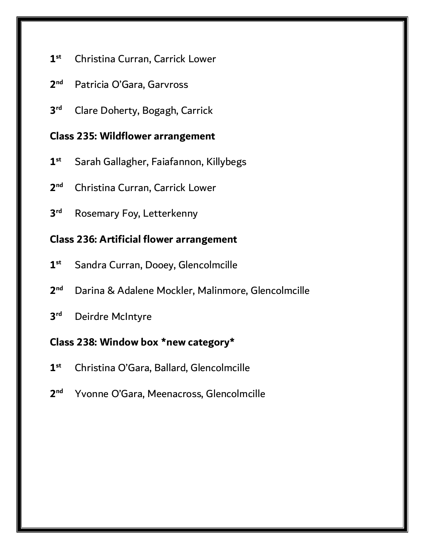- **1 st** Christina Curran, Carrick Lower
- **2** Patricia O'Gara, Garvross
- **3 rd** Clare Doherty, Bogagh, Carrick

#### **Class 235: Wildflower arrangement**

- **1 st** Sarah Gallagher, Faiafannon, Killybegs
- **2 nd** Christina Curran, Carrick Lower
- **3 Rosemary Foy, Letterkenny**

### **Class 236: Artificial flower arrangement**

- **1 st** Sandra Curran, Dooey, Glencolmcille
- **2** Darina & Adalene Mockler, Malinmore, Glencolmcille
- **3 Deirdre McIntyre**

#### **Class 238: Window box \*new category\***

- **1 st** Christina O'Gara, Ballard, Glencolmcille
- **2** Yvonne O'Gara, Meenacross, Glencolmcille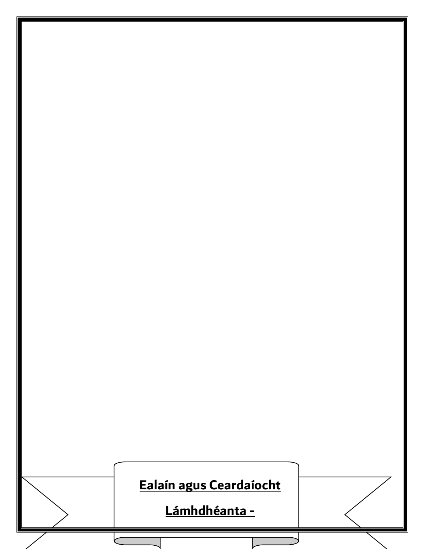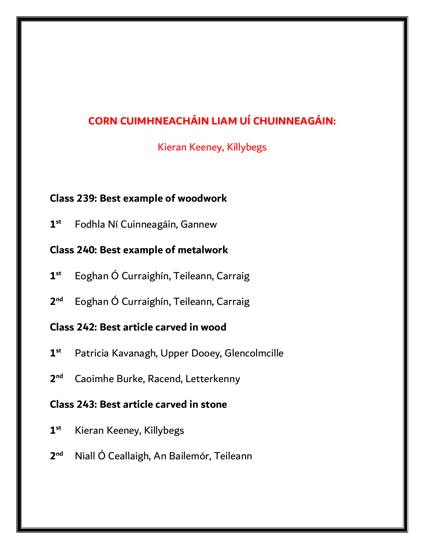# **CORN CUIMHNEACHÁIN LIAM UÍ CHUINNEAGÁIN:**

Kieran Keeney, Killybegs

#### **Class 239: Best example of woodwork**

**1 st** Fodhla Ní Cuinneagáin, Gannew

# **Class 240: Best example of metalwork**

- **1 st** Eoghan Ó Curraighín, Teileann, Carraig
- **2 nd** Eoghan Ó Curraighín, Teileann, Carraig

# **Class 242: Best article carved in wood**

- **1 st** Patricia Kavanagh, Upper Dooey, Glencolmcille
- $2<sup>nd</sup>$ **nd** Caoimhe Burke, Racend, Letterkenny

# **Class 243: Best article carved in stone**

- **1 st** Kieran Keeney, Killybegs
- **2 nd** Niall Ó Ceallaigh, An Bailemór, Teileann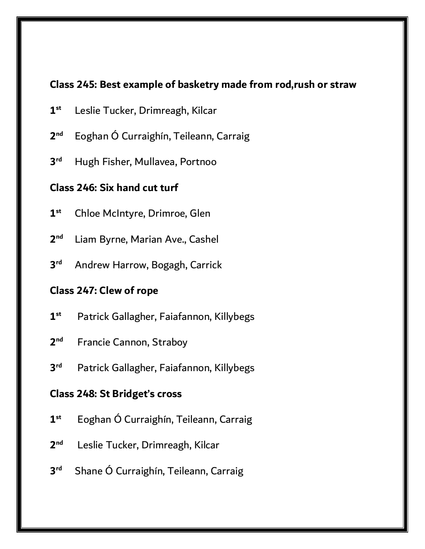#### **Class 245: Best example of basketry made from rod,rush or straw**

- **1 st** Leslie Tucker, Drimreagh, Kilcar
- **2 nd** Eoghan Ó Curraighín, Teileann, Carraig
- **3 rd** Hugh Fisher, Mullavea, Portnoo

### **Class 246: Six hand cut turf**

- **1 st** Chloe McIntyre, Drimroe, Glen
- **2** Liam Byrne, Marian Ave., Cashel
- **3 rd** Andrew Harrow, Bogagh, Carrick

#### **Class 247: Clew of rope**

- **1 st** Patrick Gallagher, Faiafannon, Killybegs
- **2 Francie Cannon, Straboy**
- **3** Patrick Gallagher, Faiafannon, Killybegs

#### **Class 248: St Bridget's cross**

- **1 st** Eoghan Ó Curraighín, Teileann, Carraig
- **2** Leslie Tucker, Drimreagh, Kilcar
- **3** Shane Ó Curraighín, Teileann, Carraig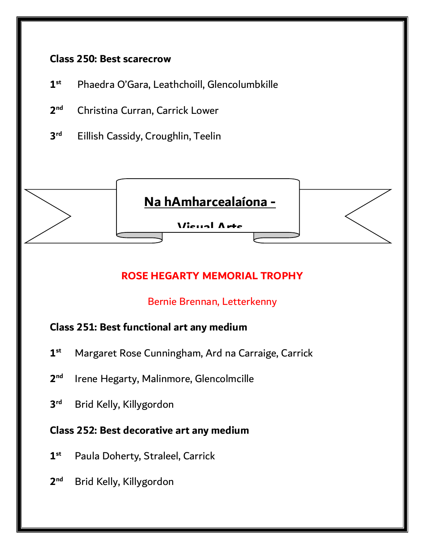#### **Class 250: Best scarecrow**

- **1 st** Phaedra O'Gara, Leathchoill, Glencolumbkille
- **2 nd** Christina Curran, Carrick Lower
- **3 Eillish Cassidy, Croughlin, Teelin**



# **ROSE HEGARTY MEMORIAL TROPHY**

# Bernie Brennan, Letterkenny

# **Class 251: Best functional art any medium**

- **1 st** Margaret Rose Cunningham, Ard na Carraige, Carrick
- $2<sup>nd</sup>$ Irene Hegarty, Malinmore, Glencolmcille
- **3 rd** Brid Kelly, Killygordon

# **Class 252: Best decorative art any medium**

- **1 st** Paula Doherty, Straleel, Carrick
- $2<sup>nd</sup>$ **nd** Brid Kelly, Killygordon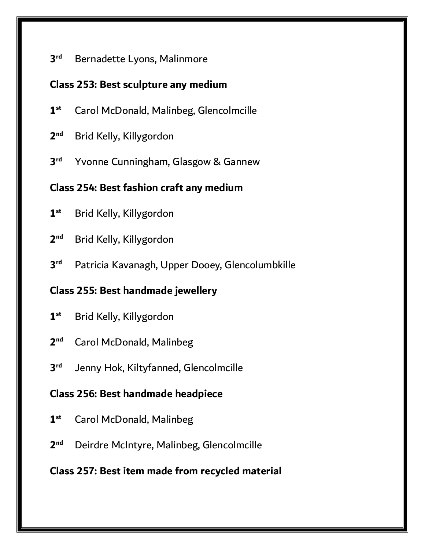#### **3 Bernadette Lyons, Malinmore**

### **Class 253: Best sculpture any medium**

- **1 st** Carol McDonald, Malinbeg, Glencolmcille
- **2 nd** Brid Kelly, Killygordon
- **3** Yvonne Cunningham, Glasgow & Gannew

# **Class 254: Best fashion craft any medium**

- **1 st** Brid Kelly, Killygordon
- **2 nd** Brid Kelly, Killygordon
- **3** Patricia Kavanagh, Upper Dooey, Glencolumbkille

# **Class 255: Best handmade jewellery**

- **1 st** Brid Kelly, Killygordon
- **2 Carol McDonald, Malinbeg**
- **3** Jenny Hok, Kiltyfanned, Glencolmcille

# **Class 256: Best handmade headpiece**

- **1 st** Carol McDonald, Malinbeg
- **2 nd** Deirdre McIntyre, Malinbeg, Glencolmcille

# **Class 257: Best item made from recycled material**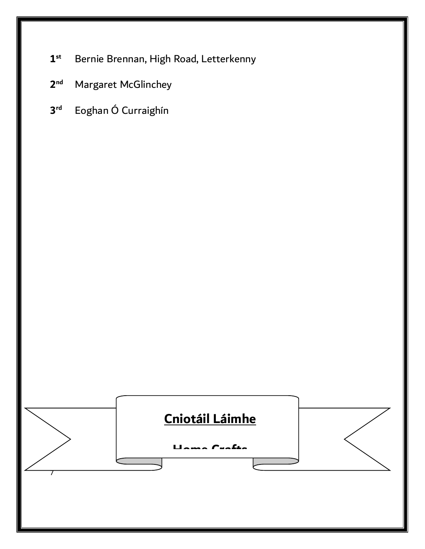- **1 st** Bernie Brennan, High Road, Letterkenny
- **2 Margaret McGlinchey**
- **3 rd** Eoghan Ó Curraighín

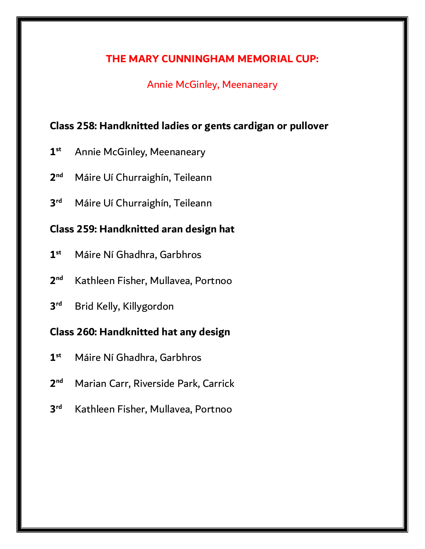#### **THE MARY CUNNINGHAM MEMORIAL CUP:**

### Annie McGinley, Meenaneary

# **Class 258: Handknitted ladies or gents cardigan or pullover**

- **1 st** Annie McGinley, Meenaneary
- **2** Máire Uí Churraighín, Teileann
- **3 rd** Máire Uí Churraighín, Teileann

#### **Class 259: Handknitted aran design hat**

- **1 st** Máire Ní Ghadhra, Garbhros
- $2<sup>nd</sup>$ **nd** Kathleen Fisher, Mullavea, Portnoo
- **3 rd** Brid Kelly, Killygordon

#### **Class 260: Handknitted hat any design**

- **1 st** Máire Ní Ghadhra, Garbhros
- **2 nd** Marian Carr, Riverside Park, Carrick
- **3 rd** Kathleen Fisher, Mullavea, Portnoo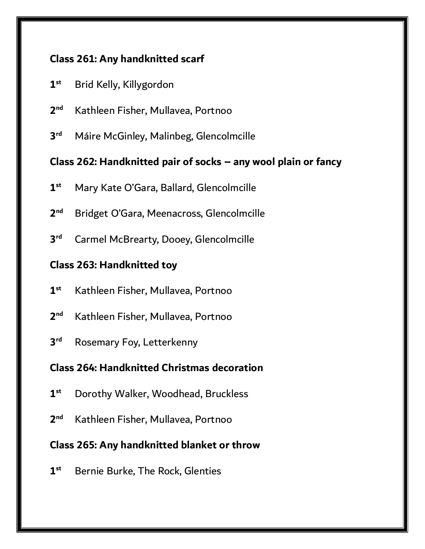# **Class 261: Any handknitted scarf**

- **1 st** Brid Kelly, Killygordon
- **2 nd** Kathleen Fisher, Mullavea, Portnoo
- **3 rd** Máire McGinley, Malinbeg, Glencolmcille

### **Class 262: Handknitted pair of socks – any wool plain or fancy**

- **1 st** Mary Kate O'Gara, Ballard, Glencolmcille
- **2 nd** Bridget O'Gara, Meenacross, Glencolmcille
- **3 Carmel McBrearty, Dooey, Glencolmcille**

# **Class 263: Handknitted toy**

- **1 st** Kathleen Fisher, Mullavea, Portnoo
- **2 nd** Kathleen Fisher, Mullavea, Portnoo
- **3 Rosemary Foy, Letterkenny**

# **Class 264: Handknitted Christmas decoration**

- **1 st** Dorothy Walker, Woodhead, Bruckless
- **2 nd** Kathleen Fisher, Mullavea, Portnoo

# **Class 265: Any handknitted blanket or throw**

**1 st** Bernie Burke, The Rock, Glenties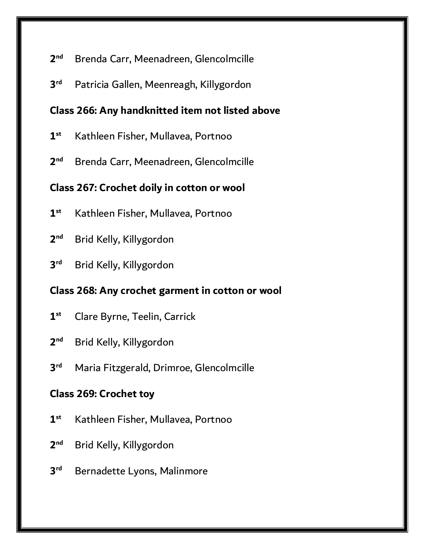#### **2 nd** Brenda Carr, Meenadreen, Glencolmcille

**3** Patricia Gallen, Meenreagh, Killygordon

# **Class 266: Any handknitted item not listed above**

- **1 st** Kathleen Fisher, Mullavea, Portnoo
- **2 nd** Brenda Carr, Meenadreen, Glencolmcille

# **Class 267: Crochet doily in cotton or wool**

- **1 st** Kathleen Fisher, Mullavea, Portnoo
- **2 nd** Brid Kelly, Killygordon
- **3 rd** Brid Kelly, Killygordon

# **Class 268: Any crochet garment in cotton or wool**

- **1 st** Clare Byrne, Teelin, Carrick
- **2 nd** Brid Kelly, Killygordon
- **3 rd** Maria Fitzgerald, Drimroe, Glencolmcille

# **Class 269: Crochet toy**

- **1 st** Kathleen Fisher, Mullavea, Portnoo
- **2 nd** Brid Kelly, Killygordon
- **3 Bernadette Lyons, Malinmore**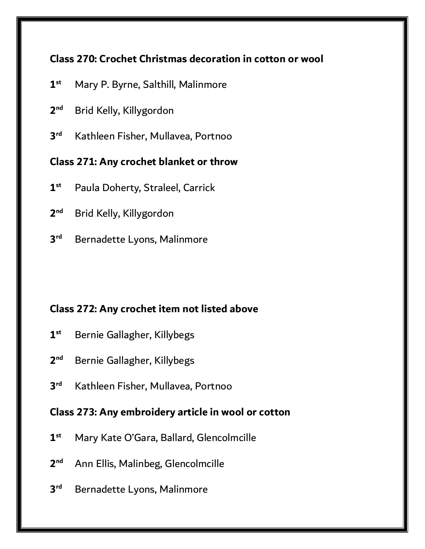# **Class 270: Crochet Christmas decoration in cotton or wool**

- **1 st** Mary P. Byrne, Salthill, Malinmore
- **2 nd** Brid Kelly, Killygordon
- **3 rd** Kathleen Fisher, Mullavea, Portnoo

### **Class 271: Any crochet blanket or throw**

- **1 st** Paula Doherty, Straleel, Carrick
- **2 nd** Brid Kelly, Killygordon
- **3 Bernadette Lyons, Malinmore**

# **Class 272: Any crochet item not listed above**

- **1 st** Bernie Gallagher, Killybegs
- **2 nd** Bernie Gallagher, Killybegs
- **3 rd** Kathleen Fisher, Mullavea, Portnoo

# **Class 273: Any embroidery article in wool or cotton**

- **1 st** Mary Kate O'Gara, Ballard, Glencolmcille
- $2<sup>nd</sup>$ **nd** Ann Ellis, Malinbeg, Glencolmcille
- **3 Bernadette Lyons, Malinmore**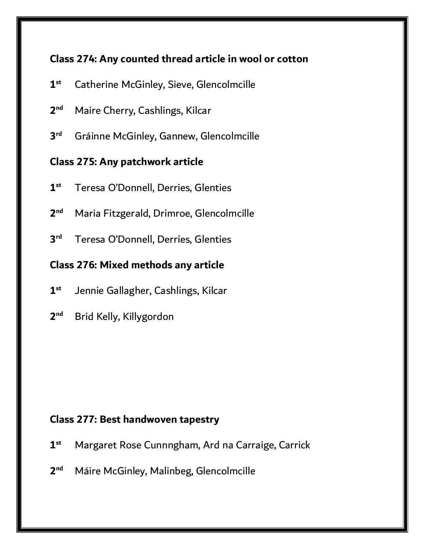# **Class 274: Any counted thread article in wool or cotton**

- **1 st** Catherine McGinley, Sieve, Glencolmcille
- **2** Maire Cherry, Cashlings, Kilcar
- **3** Gráinne McGinley, Gannew, Glencolmcille

# **Class 275: Any patchwork article**

- **1 st** Teresa O'Donnell, Derries, Glenties
- **2 nd** Maria Fitzgerald, Drimroe, Glencolmcille
- **3** Teresa O'Donnell, Derries, Glenties

# **Class 276: Mixed methods any article**

- **1 st** Jennie Gallagher, Cashlings, Kilcar
- **2 nd** Brid Kelly, Killygordon

# **Class 277: Best handwoven tapestry**

- **1 st** Margaret Rose Cunnngham, Ard na Carraige, Carrick
- **2 nd** Máire McGinley, Malinbeg, Glencolmcille